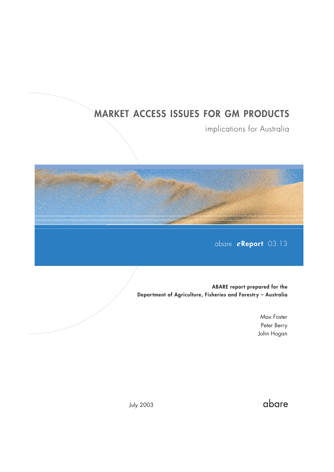## **MARKET ACCESS ISSUES FOR GM PRODUCTS**

implications for Australia



**ABARE report prepared for the Department of Agriculture, Fisheries and Forestry – Australia**

> Max Foster Peter Berry John Hogan

> > abare

July 2003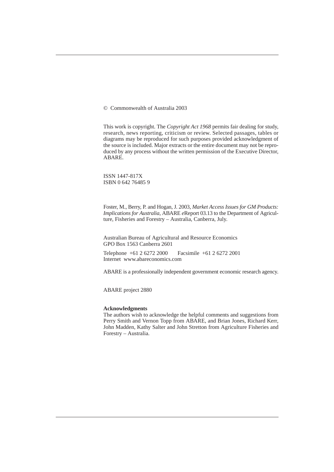© Commonwealth of Australia 2003

This work is copyright. The *Copyright Act 1968* permits fair dealing for study, research, news reporting, criticism or review. Selected passages, tables or diagrams may be reproduced for such purposes provided acknowledgment of the source is included. Major extracts or the entire document may not be reproduced by any process without the written permission of the Executive Director, ABARE.

ISSN 1447-817X ISBN 0 642 76485 9

Foster, M., Berry, P. and Hogan, J. 2003, *Market Access Issues for GM Products: Implications for Australia*, ABARE *e*Report 03.13 to the Department of Agriculture, Fisheries and Forestry – Australia, Canberra, July.

Australian Bureau of Agricultural and Resource Economics GPO Box 1563 Canberra 2601

Telephone +61 2 6272 2000 Facsimile +61 2 6272 2001 Internet www.abareconomics.com

ABARE is a professionally independent government economic research agency.

ABARE project 2880

#### **Acknowledgments**

The authors wish to acknowledge the helpful comments and suggestions from Perry Smith and Vernon Topp from ABARE, and Brian Jones, Richard Kerr, John Madden, Kathy Salter and John Stretton from Agriculture Fisheries and Forestry – Australia.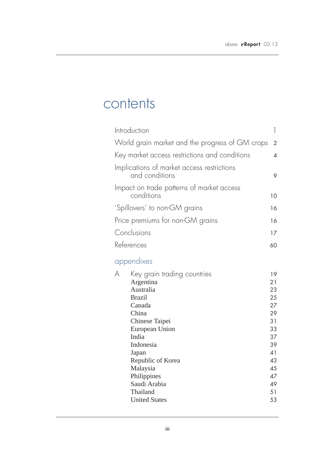## contents

| Introduction                                                                                                                                                                                       | 1                                                                          |
|----------------------------------------------------------------------------------------------------------------------------------------------------------------------------------------------------|----------------------------------------------------------------------------|
| World grain market and the progress of GM crops                                                                                                                                                    | $\overline{2}$                                                             |
| Key market access restrictions and conditions                                                                                                                                                      | 4                                                                          |
| Implications of market access restrictions<br>and conditions                                                                                                                                       | 9                                                                          |
| Impact on trade patterns of market access<br>conditions                                                                                                                                            | 10                                                                         |
| 'Spillovers' to non-GM grains                                                                                                                                                                      | 16                                                                         |
| Price premiums for non-GM grains                                                                                                                                                                   | 16                                                                         |
| Conclusions                                                                                                                                                                                        | 17                                                                         |
| References                                                                                                                                                                                         | 60                                                                         |
| appendixes                                                                                                                                                                                         |                                                                            |
| Key grain trading countries<br>A<br>Argentina<br>Australia<br><b>Brazil</b><br>Canada<br>China<br>Chinese Taipei<br>European Union<br>India<br>Indonesia<br>Japan<br>Republic of Korea<br>Malaysia | 19<br>21<br>23<br>25<br>27<br>29<br>31<br>33<br>37<br>39<br>41<br>43<br>45 |

Philippines 47 Saudi Arabia 49 Thailand 51<br>United States 53

**United States**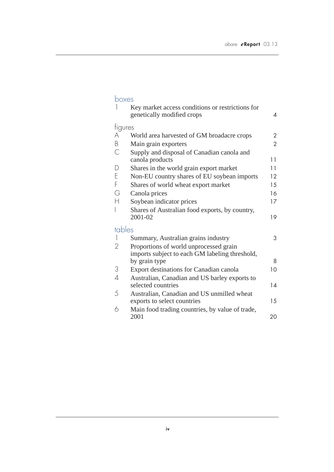## $\frac{b}{1}$

| 1              | Key market access conditions or restrictions for<br>genetically modified crops | 4              |
|----------------|--------------------------------------------------------------------------------|----------------|
| figures        |                                                                                |                |
| A              | World area harvested of GM broadacre crops                                     | 2              |
| B              | Main grain exporters                                                           | $\overline{2}$ |
| $\mathcal{C}$  | Supply and disposal of Canadian canola and                                     |                |
|                | canola products                                                                | 11             |
| $\mathsf{D}$   | Shares in the world grain export market                                        | 11             |
| E              | Non-EU country shares of EU soybean imports                                    | 12             |
| F              | Shares of world wheat export market                                            | 15             |
| G              | Canola prices                                                                  | 16             |
| Н              | Soybean indicator prices                                                       | 17             |
| I              | Shares of Australian food exports, by country,                                 |                |
|                | 2001-02                                                                        | 19             |
| tables         |                                                                                |                |
| 1              | Summary, Australian grains industry                                            | 3              |
| $\overline{2}$ | Proportions of world unprocessed grain                                         |                |
|                | imports subject to each GM labeling threshold,                                 |                |
|                | by grain type                                                                  | 8              |
| 3              | Export destinations for Canadian canola                                        | 10             |
| $\overline{A}$ | Australian, Canadian and US barley exports to                                  |                |
|                | selected countries                                                             | 14             |
| 5              | Australian, Canadian and US unmilled wheat                                     |                |
|                | exports to select countries                                                    | 15             |
| 6              | Main food trading countries, by value of trade,<br>2001                        | 20             |
|                |                                                                                |                |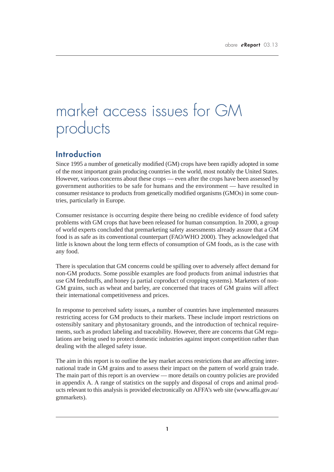# market access issues for GM products

### **Introduction**

Since 1995 a number of genetically modified (GM) crops have been rapidly adopted in some of the most important grain producing countries in the world, most notably the United States. However, various concerns about these crops — even after the crops have been assessed by government authorities to be safe for humans and the environment — have resulted in consumer resistance to products from genetically modified organisms (GMOs) in some countries, particularly in Europe.

Consumer resistance is occurring despite there being no credible evidence of food safety problems with GM crops that have been released for human consumption. In 2000, a group of world experts concluded that premarketing safety assessments already assure that a GM food is as safe as its conventional counterpart (FAO/WHO 2000). They acknowledged that little is known about the long term effects of consumption of GM foods, as is the case with any food.

There is speculation that GM concerns could be spilling over to adversely affect demand for non-GM products. Some possible examples are food products from animal industries that use GM feedstuffs, and honey (a partial coproduct of cropping systems). Marketers of non-GM grains, such as wheat and barley, are concerned that traces of GM grains will affect their international competitiveness and prices.

In response to perceived safety issues, a number of countries have implemented measures restricting access for GM products to their markets. These include import restrictions on ostensibly sanitary and phytosanitary grounds, and the introduction of technical requirements, such as product labeling and traceability. However, there are concerns that GM regulations are being used to protect domestic industries against import competition rather than dealing with the alleged safety issue.

The aim in this report is to outline the key market access restrictions that are affecting international trade in GM grains and to assess their impact on the pattern of world grain trade. The main part of this report is an overview — more details on country policies are provided in appendix A. A range of statistics on the supply and disposal of crops and animal products relevant to this analysis is provided electronically on AFFA's web site (www.affa.gov.au/ gmmarkets).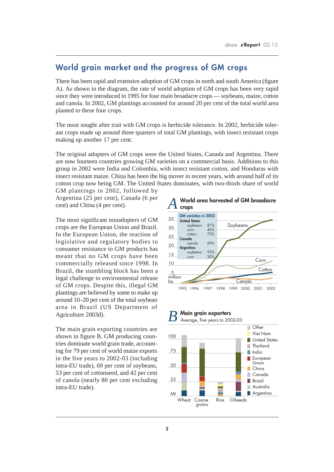## **World grain market and the progress of GM crops**

There has been rapid and extensive adoption of GM crops in north and south America (figure A). As shown in the diagram, the rate of world adoption of GM crops has been very rapid since they were introduced in 1995 for four main broadacre crops — soybeans, maize, cotton and canola. In 2002, GM plantings accounted for around 20 per cent of the total world area planted to these four crops.

The most sought after trait with GM crops is herbicide tolerance. In 2002, herbicide tolerant crops made up around three quarters of total GM plantings, with insect resistant crops making up another 17 per cent.

The original adopters of GM crops were the United States, Canada and Argentina. There are now fourteen countries growing GM varieties on a commercial basis. Additions to this group in 2002 were India and Colombia, with insect resistant cotton, and Honduras with insect resistant maize. China has been the big mover in recent years, with around half of its cotton crop now being GM. The United States dominates, with two-thirds share of world

GM plantings in 2002, followed by Argentina (25 per cent), Canada (6 per cent) and China (4 per cent).

The most significant nonadopters of GM crops are the European Union and Brazil. In the European Union, the reaction of legislative and regulatory bodies to consumer resistance to GM products has meant that no GM crops have been commercially released since 1998. In Brazil, the stumbling block has been a legal challenge to environmental release of GM crops. Despite this, illegal GM plantings are believed by some to make up around 10–20 per cent of the total soybean area in Brazil (US Department of Agriculture 2003d).

The main grain exporting countries are shown in figure B. GM producing countries dominate world grain trade, accounting for 79 per cent of world maize exports in the five years to 2002-03 (including intra-EU trade), 69 per cent of soybeans, 53 per cent of cottonseed, and 42 per cent of canola (nearly 80 per cent excluding intra-EU trade).



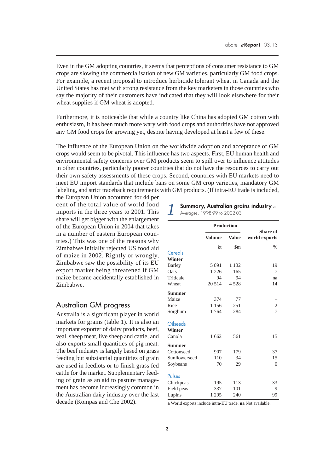Even in the GM adopting countries, it seems that perceptions of consumer resistance to GM crops are slowing the commercialisation of new GM varieties, particularly GM food crops. For example, a recent proposal to introduce herbicide tolerant wheat in Canada and the United States has met with strong resistance from the key marketers in those countries who say the majority of their customers have indicated that they will look elsewhere for their wheat supplies if GM wheat is adopted.

Furthermore, it is noticeable that while a country like China has adopted GM cotton with enthusiasm, it has been much more wary with food crops and authorities have not approved any GM food crops for growing yet, despite having developed at least a few of these.

The influence of the European Union on the worldwide adoption and acceptance of GM crops would seem to be pivotal. This influence has two aspects. First, EU human health and environmental safety concerns over GM products seem to spill over to influence attitudes in other countries, particularly poorer countries that do not have the resources to carry out their own safety assessments of these crops. Second, countries with EU markets need to meet EU import standards that include bans on some GM crop varieties, mandatory GM labeling, and strict traceback requirements with GM products. (If intra-EU trade is included,

the European Union accounted for 44 per cent of the total value of world food imports in the three years to 2001. This share will get bigger with the enlargement of the European Union in 2004 that takes in a number of eastern European countries.) This was one of the reasons why Zimbabwe initially rejected US food aid of maize in 2002. Rightly or wrongly, Zimbabwe saw the possibility of its EU export market being threatened if GM maize became accidentally established in Zimbabwe.

### Australian GM progress

Australia is a significant player in world markets for grains (table 1). It is also an important exporter of dairy products, beef, veal, sheep meat, live sheep and cattle, and also exports small quantities of pig meat. The beef industry is largely based on grass feeding but substantial quantities of grain are used in feedlots or to finish grass fed cattle for the market. Supplementary feeding of grain as an aid to pasture management has become increasingly common in the Australian dairy industry over the last decade (Kompas and Che 2002).

## *1* **Summary, Australian grains industry <sup>a</sup>**

| Averages, 1998-99 to 2002-03 |  |  |
|------------------------------|--|--|
|                              |  |  |

|                 |               | <b>Production</b> |                                  |
|-----------------|---------------|-------------------|----------------------------------|
|                 | <b>Volume</b> | <b>Value</b>      | <b>Share of</b><br>world exports |
|                 | kt            | $\rm\,$           | $\frac{0}{0}$                    |
| Cereals         |               |                   |                                  |
| Winter          |               |                   |                                  |
| <b>Barley</b>   | 5891          | 1 1 3 2           | 19                               |
| Oats            | 1 2 2 6       | 165               | 7                                |
| Triticale       | 94            | 94                | na                               |
| Wheat           | 20 5 14       | 4528              | 14                               |
| <b>Summer</b>   |               |                   |                                  |
| Maize           | 374           | 77                |                                  |
| Rice            | 1 1 5 6       | 251               | $\overline{c}$                   |
| Sorghum         | 1764          | 284               | $\overline{7}$                   |
| <b>Oilseeds</b> |               |                   |                                  |
| Winter          |               |                   |                                  |
| Canola          | 1 662         | 561               | 15                               |
| <b>Summer</b>   |               |                   |                                  |
| Cottonseed      | 907           | 179               | 37                               |
| Sunflowerseed   | 110           | 34                | 15                               |
| Soybeans        | 70            | 29                | $\theta$                         |
| Pulses          |               |                   |                                  |
| Chickpeas       | 195           | 113               | 33                               |
| Field peas      | 337           | 101               | 9                                |
| Lupins          | 1 2 9 5       | 240               | 99                               |

**a** World exports include intra-EU trade. **na** Not available.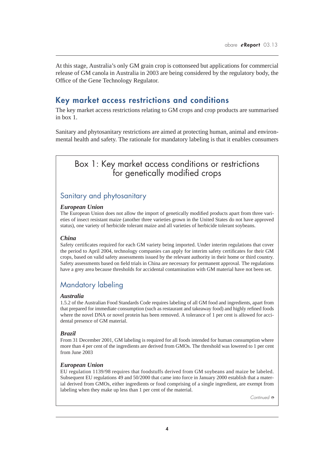At this stage, Australia's only GM grain crop is cottonseed but applications for commercial release of GM canola in Australia in 2003 are being considered by the regulatory body, the Office of the Gene Technology Regulator.

### **Key market access restrictions and conditions**

The key market access restrictions relating to GM crops and crop products are summarised in box 1.

Sanitary and phytosanitary restrictions are aimed at protecting human, animal and environmental health and safety. The rationale for mandatory labeling is that it enables consumers

## Box 1: Key market access conditions or restrictions for genetically modified crops

## Sanitary and phytosanitary

### *European Union*

The European Union does not allow the import of genetically modified products apart from three varieties of insect resistant maize (another three varieties grown in the United States do not have approved status), one variety of herbicide tolerant maize and all varieties of herbicide tolerant soybeans.

### *China*

Safety certificates required for each GM variety being imported. Under interim regulations that cover the period to April 2004, technology companies can apply for interim safety certificates for their GM crops, based on valid safety assessments issued by the relevant authority in their home or third country. Safety assessments based on field trials in China are necessary for permanent approval. The regulations have a grey area because thresholds for accidental contamination with GM material have not been set.

### Mandatory labeling

#### *Australia*

1.5.2 of the Australian Food Standards Code requires labeling of all GM food and ingredients, apart from that prepared for immediate consumption (such as restaurant and takeaway food) and highly refined foods where the novel DNA or novel protein has been removed. A tolerance of 1 per cent is allowed for accidental presence of GM material.

### *Brazil*

From 31 December 2001, GM labeling is required for all foods intended for human consumption where more than 4 per cent of the ingredients are derived from GMOs. The threshold was lowered to 1 per cent from June 2003

### *European Union*

EU regulation 1139/98 requires that foodstuffs derived from GM soybeans and maize be labeled. Subsequent EU regulations 49 and 50/2000 that came into force in January 2000 establish that a material derived from GMOs, either ingredients or food comprising of a single ingredient, are exempt from labeling when they make up less than 1 per cent of the material.

*Continued* ➮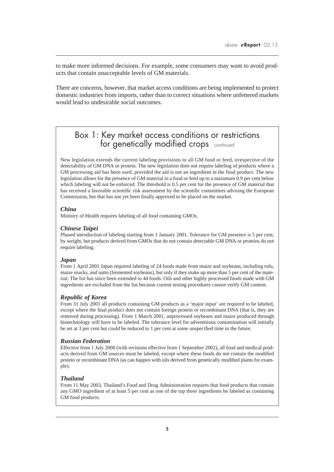to make more informed decisions. For example, some consumers may want to avoid products that contain unacceptable levels of GM materials.

There are concerns, however, that market access conditions are being implemented to protect domestic industries from imports, rather than to correct situations where unfettered markets would lead to undesirable social outcomes.

## Box 1: Key market access conditions or restrictions for genetically modified crops *continued*

New legislation extends the current labeling provisions to all GM food or feed, irrespective of the detectability of GM DNA or protein. The new legislation does not require labeling of products where a GM processing aid has been used, provided the aid is not an ingredient in the final product. The new legislation allows for the presence of GM material in a food or feed up to a maximum 0.9 per cent below which labeling will not be enforced. The threshold is 0.5 per cent for the presence of GM material that has received a favorable scientific risk assessment by the scientific committees advising the European Commission, but that has not yet been finally approved to be placed on the market.

#### *China*

Ministry of Health requires labeling of all food containing GMOs.

#### *Chinese Taipei*

Phased introduction of labeling starting from 1 January 2001. Tolerance for GM presence is 5 per cent, by weight, but products derived from GMOs that do not contain detectable GM DNA or proteins do not require labeling.

### *Japan*

From 1 April 2001 Japan required labeling of 24 foods made from maize and soybeans, including tofu, maize snacks, and natto (fermented soybeans), but only if they make up more than 5 per cent of the material. The list has since been extended to 44 foods. Oils and other highly processed foods made with GM ingredients are excluded from the list because current testing procedures cannot verify GM content.

### *Republic of Korea*

From 31 July 2001 all products containing GM products as a 'major input' are required to be labeled, except where the final product does not contain foreign protein or recombinant DNA (that is, they are removed during processing). From 1 March 2001, unprocessed soybeans and maize produced through biotechnology will have to be labeled. The tolerance level for adventitious contamination will initially be set at 3 per cent but could be reduced to 1 per cent at some unspecified time in the future.

#### *Russian Federation*

Effective from 1 July 2000 (with revisions effective from 1 September 2002), all food and medical products derived from GM sources must be labeled, except where these foods do not contain the modified protein or recombinant DNA (as can happen with oils derived from genetically modified plants for example).

#### *Thailand*

From 11 May 2003, Thailand's Food and Drug Administration requires that food products that contain any GMO ingredient of at least 5 per cent as one of the top three ingredients be labeled as containing GM food products.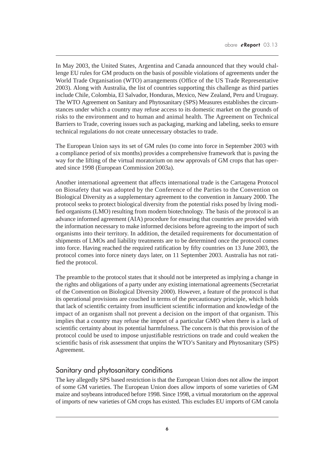In May 2003, the United States, Argentina and Canada announced that they would challenge EU rules for GM products on the basis of possible violations of agreements under the World Trade Organisation (WTO) arrangements (Office of the US Trade Representative 2003). Along with Australia, the list of countries supporting this challenge as third parties include Chile, Colombia, El Salvador, Honduras, Mexico, New Zealand, Peru and Uruguay. The WTO Agreement on Sanitary and Phytosanitary (SPS) Measures establishes the circumstances under which a country may refuse access to its domestic market on the grounds of risks to the environment and to human and animal health. The Agreement on Technical Barriers to Trade, covering issues such as packaging, marking and labeling, seeks to ensure technical regulations do not create unnecessary obstacles to trade.

The European Union says its set of GM rules (to come into force in September 2003 with a compliance period of six months) provides a comprehensive framework that is paving the way for the lifting of the virtual moratorium on new approvals of GM crops that has operated since 1998 (European Commission 2003a).

Another international agreement that affects international trade is the Cartagena Protocol on Biosafety that was adopted by the Conference of the Parties to the Convention on Biological Diversity as a supplementary agreement to the convention in January 2000. The protocol seeks to protect biological diversity from the potential risks posed by living modified organisms (LMO) resulting from modern biotechnology. The basis of the protocol is an advance informed agreement (AIA) procedure for ensuring that countries are provided with the information necessary to make informed decisions before agreeing to the import of such organisms into their territory. In addition, the detailed requirements for documentation of shipments of LMOs and liability treatments are to be determined once the protocol comes into force. Having reached the required ratification by fifty countries on 13 June 2003, the protocol comes into force ninety days later, on 11 September 2003. Australia has not ratified the protocol.

The preamble to the protocol states that it should not be interpreted as implying a change in the rights and obligations of a party under any existing international agreements (Secretariat of the Convention on Biological Diversity 2000). However, a feature of the protocol is that its operational provisions are couched in terms of the precautionary principle, which holds that lack of scientific certainty from insufficient scientific information and knowledge of the impact of an organism shall not prevent a decision on the import of that organism. This implies that a country may refuse the import of a particular GMO when there is a lack of scientific certainty about its potential harmfulness. The concern is that this provision of the protocol could be used to impose unjustifiable restrictions on trade and could weaken the scientific basis of risk assessment that unpins the WTO's Sanitary and Phytosanitary (SPS) Agreement.

### Sanitary and phytosanitary conditions

The key allegedly SPS based restriction is that the European Union does not allow the import of some GM varieties. The European Union does allow imports of some varieties of GM maize and soybeans introduced before 1998. Since 1998, a virtual moratorium on the approval of imports of new varieties of GM crops has existed. This excludes EU imports of GM canola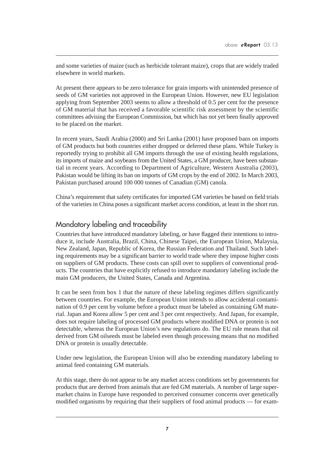and some varieties of maize (such as herbicide tolerant maize), crops that are widely traded elsewhere in world markets.

At present there appears to be zero tolerance for grain imports with unintended presence of seeds of GM varieties not approved in the European Union. However, new EU legislation applying from September 2003 seems to allow a threshold of 0.5 per cent for the presence of GM material that has received a favorable scientific risk assessment by the scientific committees advising the European Commission, but which has not yet been finally approved to be placed on the market.

In recent years, Saudi Arabia (2000) and Sri Lanka (2001) have proposed bans on imports of GM products but both countries either dropped or deferred these plans. While Turkey is reportedly trying to prohibit all GM imports through the use of existing health regulations, its imports of maize and soybeans from the United States, a GM producer, have been substantial in recent years. According to Department of Agriculture, Western Australia (2003), Pakistan would be lifting its ban on imports of GM crops by the end of 2002. In March 2003, Pakistan purchased around 100 000 tonnes of Canadian (GM) canola.

China's requirement that safety certificates for imported GM varieties be based on field trials of the varieties in China poses a significant market access condition, at least in the short run.

### Mandatory labeling and traceability

Countries that have introduced mandatory labeling, or have flagged their intentions to introduce it, include Australia, Brazil, China, Chinese Taipei, the European Union, Malaysia, New Zealand, Japan, Republic of Korea, the Russian Federation and Thailand. Such labeling requirements may be a significant barrier to world trade where they impose higher costs on suppliers of GM products. These costs can spill over to suppliers of conventional products. The countries that have explicitly refused to introduce mandatory labeling include the main GM producers, the United States, Canada and Argentina.

It can be seen from box 1 that the nature of these labeling regimes differs significantly between countries. For example, the European Union intends to allow accidental contamination of 0.9 per cent by volume before a product must be labeled as containing GM material. Japan and Korea allow 5 per cent and 3 per cent respectively. And Japan, for example, does not require labeling of processed GM products where modified DNA or protein is not detectable, whereas the European Union's new regulations do. The EU rule means that oil derived from GM oilseeds must be labeled even though processing means that no modified DNA or protein is usually detectable.

Under new legislation, the European Union will also be extending mandatory labeling to animal feed containing GM materials.

At this stage, there do not appear to be any market access conditions set by governments for products that are derived from animals that are fed GM materials. A number of large supermarket chains in Europe have responded to perceived consumer concerns over genetically modified organisms by requiring that their suppliers of food animal products — for exam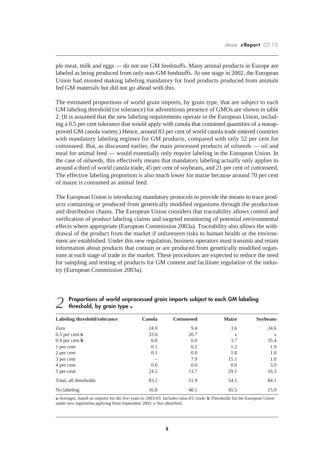ple meat, milk and eggs — do not use GM feedstuffs. Many animal products in Europe are labeled as being produced from only non-GM feedstuffs. At one stage in 2002, the European Union had mooted making labeling mandatory for food products produced from animals fed GM materials but did not go ahead with this.

The estimated proportions of world grain imports, by grain type, that are subject to each GM labeling threshold (or tolerance) for adventitious presence of GMOs are shown in table 2. (It is assumed that the new labeling requirements operate in the European Union, including a 0.5 per cent tolerance that would apply with canola that contained quantities of a nonapproved GM canola variety.) Hence, around 83 per cent of world canola trade entered countries with mandatory labeling regimes for GM products, compared with only 52 per cent for cottonseed. But, as discussed earlier, the main processed products of oilseeds — oil and meal for animal feed — would essentially only require labeling in the European Union. In the case of oilseeds, this effectively means that mandatory labeling actually only applies to around a third of world canola trade, 45 per cent of soybeans, and 21 per cent of cottonseed. The effective labeling proportion is also much lower for maize because around 70 per cent of maize is consumed as animal feed.

The European Union is introducing mandatory protocols to provide the means to trace products containing or produced from genetically modified organisms through the production and distribution chains. The European Union considers that traceability allows control and verification of product labeling claims and targeted monitoring of potential environmental effects where appropriate (European Commission 2003a). Traceability also allows the withdrawal of the product from the market if unforeseen risks to human health or the environment are established. Under this new regulation, business operators must transmit and retain information about products that contain or are produced from genetically modified organisms at each stage of trade in the market. These procedures are expected to reduce the need for sampling and testing of products for GM content and facilitate regulation of the industry (European Commission 2003a).

| Labeling threshold/tolerance | Canola | <b>Cottonseed</b> | <b>Maize</b> | <b>Soybeans</b> |
|------------------------------|--------|-------------------|--------------|-----------------|
| Zero                         | 24.9   | 9.4               | 3.6          | 24.6            |
| $0.5$ per cent <b>b</b>      | 33.6   | 20.7              | $\mathbf c$  | $\mathbf c$     |
| $0.9$ per cent <b>b</b>      | 0.0    | 0.0               | 3.7          | 35.4            |
| 1 per cent                   | 0.1    | 0.2               | 1.2          | 1.9             |
| 2 per cent                   | 0.1    | 0.0               | 1.8          | 1.0             |
| 3 per cent                   |        | 7.9               | 15.1         | 1.0             |
| 4 per cent                   | 0.0    | 0.0               | 0.0          | 3.9             |
| 5 per cent                   | 24.5   | 13.7              | 29.1         | 16.3            |
| Total, all thresholds        | 83.2   | 51.9              | 54.5         | 84.1            |
| No labeling                  | 16.8   | 48.1              | 45.5         | 15.9            |

### *2* **Proportions of world unprocessed grain imports subject to each GM labeling threshold, by grain type a**

**a** Averages, based on imports for the five years to 2003-03. Includes intra-EU trade. **b** Thresholds for the European Union under new legislation applying from September 2003. **c** Not identified.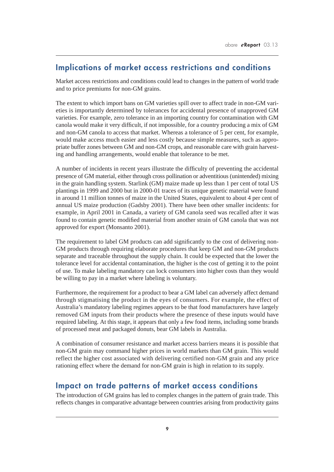## **Implications of market access restrictions and conditions**

Market access restrictions and conditions could lead to changes in the pattern of world trade and to price premiums for non-GM grains.

The extent to which import bans on GM varieties spill over to affect trade in non-GM varieties is importantly determined by tolerances for accidental presence of unapproved GM varieties. For example, zero tolerance in an importing country for contamination with GM canola would make it very difficult, if not impossible, for a country producing a mix of GM and non-GM canola to access that market. Whereas a tolerance of 5 per cent, for example, would make access much easier and less costly because simple measures, such as appropriate buffer zones between GM and non-GM crops, and reasonable care with grain harvesting and handling arrangements, would enable that tolerance to be met.

A number of incidents in recent years illustrate the difficulty of preventing the accidental presence of GM material, either through cross pollination or adventitious (unintended) mixing in the grain handling system. Starlink (GM) maize made up less than 1 per cent of total US plantings in 1999 and 2000 but in 2000-01 traces of its unique genetic material were found in around 11 million tonnes of maize in the United States, equivalent to about 4 per cent of annual US maize production (Gadsby 2001). There have been other smaller incidents: for example, in April 2001 in Canada, a variety of GM canola seed was recalled after it was found to contain genetic modified material from another strain of GM canola that was not approved for export (Monsanto 2001).

The requirement to label GM products can add significantly to the cost of delivering non-GM products through requiring elaborate procedures that keep GM and non-GM products separate and traceable throughout the supply chain. It could be expected that the lower the tolerance level for accidental contamination, the higher is the cost of getting it to the point of use. To make labeling mandatory can lock consumers into higher costs than they would be willing to pay in a market where labeling is voluntary.

Furthermore, the requirement for a product to bear a GM label can adversely affect demand through stigmatising the product in the eyes of consumers. For example, the effect of Australia's mandatory labeling regimes appears to be that food manufacturers have largely removed GM inputs from their products where the presence of these inputs would have required labeling. At this stage, it appears that only a few food items, including some brands of processed meat and packaged donuts, bear GM labels in Australia.

A combination of consumer resistance and market access barriers means it is possible that non-GM grain may command higher prices in world markets than GM grain. This would reflect the higher cost associated with delivering certified non-GM grain and any price rationing effect where the demand for non-GM grain is high in relation to its supply.

### **Impact on trade patterns of market access conditions**

The introduction of GM grains has led to complex changes in the pattern of grain trade. This reflects changes in comparative advantage between countries arising from productivity gains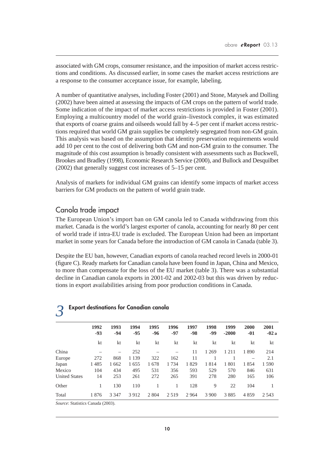associated with GM crops, consumer resistance, and the imposition of market access restrictions and conditions. As discussed earlier, in some cases the market access restrictions are a response to the consumer acceptance issue, for example, labeling.

A number of quantitative analyses, including Foster (2001) and Stone, Matysek and Dolling (2002) have been aimed at assessing the impacts of GM crops on the pattern of world trade. Some indication of the impact of market access restrictions is provided in Foster (2001). Employing a multicountry model of the world grain–livestock complex, it was estimated that exports of coarse grains and oilseeds would fall by 4–5 per cent if market access restrictions required that world GM grain supplies be completely segregated from non-GM grain. This analysis was based on the assumption that identity preservation requirements would add 10 per cent to the cost of delivering both GM and non-GM grain to the consumer. The magnitude of this cost assumption is broadly consistent with assessments such as Buckwell, Brookes and Bradley (1998), Economic Research Service (2000), and Bullock and Desquilbet (2002) that generally suggest cost increases of 5–15 per cent.

Analysis of markets for individual GM grains can identify some impacts of market access barriers for GM products on the pattern of world grain trade.

### Canola trade impact

The European Union's import ban on GM canola led to Canada withdrawing from this market. Canada is the world's largest exporter of canola, accounting for nearly 80 per cent of world trade if intra-EU trade is excluded. The European Union had been an important market in some years for Canada before the introduction of GM canola in Canada (table 3).

Despite the EU ban, however, Canadian exports of canola reached record levels in 2000-01 (figure C). Ready markets for Canadian canola have been found in Japan, China and Mexico, to more than compensate for the loss of the EU market (table 3). There was a substantial decline in Canadian canola exports in 2001-02 and 2002-03 but this was driven by reductions in export availabilities arising from poor production conditions in Canada.

| $\overline{\phantom{a}}$ |               |             |               |               |               |             |               |                 |               |                |
|--------------------------|---------------|-------------|---------------|---------------|---------------|-------------|---------------|-----------------|---------------|----------------|
|                          | 1992<br>$-93$ | 1993<br>-94 | 1994<br>$-95$ | 1995<br>$-96$ | 1996<br>$-97$ | 1997<br>-98 | 1998<br>$-99$ | 1999<br>$-2000$ | 2000<br>$-01$ | 2001<br>$-02a$ |
|                          | kt            | kt          | kt            | kt            | kt            | kt          | kt            | kt              | kt            | kt             |
| China                    |               |             | 252           |               |               | 11          | 1 2 6 9       | 1211            | 1890          | 214            |
| Europe                   | 272           | 868         | 1 1 3 9       | 322           | 162           | 11          |               |                 |               | 2.1            |
| Japan                    | 1485          | 1 6 6 2     | 1655          | 1678          | 1734          | 1829        | 1814          | 1801            | 1854          | 1 5 9 0        |
| Mexico                   | 104           | 434         | 495           | 531           | 356           | 593         | 529           | 570             | 846           | 631            |
| <b>United States</b>     | 14            | 253         | 261           | 272           | 265           | 391         | 278           | 280             | 165           | 106            |
| Other                    |               | 130         | 110           |               |               | 128         | 9             | 22              | 104           |                |
| Total                    | 1876          | 3 3 4 7     | 3912          | 2 8 0 4       | 2 5 1 9       | 2964        | 3 9 0 0       | 3885            | 4859          | 2 5 4 3        |
|                          |               |             |               |               |               |             |               |                 |               |                |

#### *3* **Export destinations for Canadian canola**

*Source*: Statistics Canada (2003).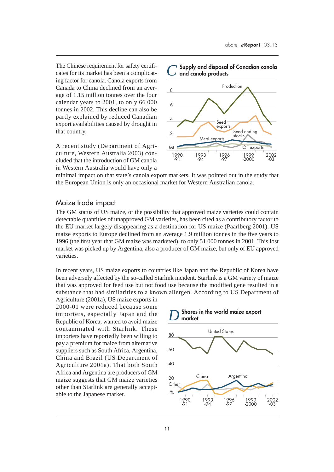The Chinese requirement for safety certificates for its market has been a complicating factor for canola. Canola exports from Canada to China declined from an average of 1.15 million tonnes over the four calendar years to 2001, to only 66 000 tonnes in 2002. This decline can also be partly explained by reduced Canadian export availabilities caused by drought in that country.

A recent study (Department of Agriculture, Western Australia 2003) concluded that the introduction of GM canola in Western Australia would have only a



minimal impact on that state's canola export markets. It was pointed out in the study that the European Union is only an occasional market for Western Australian canola.

### Maize trade impact

The GM status of US maize, or the possibility that approved maize varieties could contain detectable quantities of unapproved GM varieties, has been cited as a contributory factor to the EU market largely disappearing as a destination for US maize (Paarlberg 2001). US maize exports to Europe declined from an average 1.9 million tonnes in the five years to 1996 (the first year that GM maize was marketed), to only 51 000 tonnes in 2001. This lost market was picked up by Argentina, also a producer of GM maize, but only of EU approved varieties.

In recent years, US maize exports to countries like Japan and the Republic of Korea have been adversely affected by the so-called Starlink incident. Starlink is a GM variety of maize that was approved for feed use but not food use because the modified gene resulted in a substance that had similarities to a known allergen. According to US Department of

Agriculture (2001a), US maize exports in 2000-01 were reduced because some importers, especially Japan and the Republic of Korea, wanted to avoid maize contaminated with Starlink. These importers have reportedly been willing to pay a premium for maize from alternative suppliers such as South Africa, Argentina, China and Brazil (US Department of Agriculture 2001a). That both South Africa and Argentina are producers of GM maize suggests that GM maize varieties other than Starlink are generally acceptable to the Japanese market.

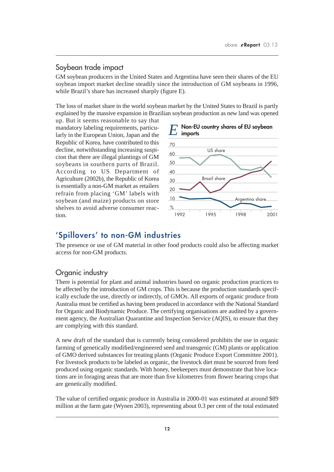### Soybean trade impact

GM soybean producers in the United States and Argentina have seen their shares of the EU soybean import market decline steadily since the introduction of GM soybeans in 1996, while Brazil's share has increased sharply (figure E).

The loss of market share in the world soybean market by the United States to Brazil is partly explained by the massive expansion in Brazilian soybean production as new land was opened

up. But it seems reasonable to say that mandatory labeling requirements, particularly in the European Union, Japan and the Republic of Korea, have contributed to this decline, notwithstanding increasing suspicion that there are illegal plantings of GM soybeans in southern parts of Brazil. According to US Department of Agriculture (2002b), the Republic of Korea is essentially a non-GM market as retailers refrain from placing 'GM' labels with soybean (and maize) products on store shelves to avoid adverse consumer reaction.



### **'Spillovers' to non-GM industries**

The presence or use of GM material in other food products could also be affecting market access for non-GM products.

### Organic industry

There is potential for plant and animal industries based on organic production practices to be affected by the introduction of GM crops. This is because the production standards specifically exclude the use, directly or indirectly, of GMOs. All exports of organic produce from Australia must be certified as having been produced in accordance with the National Standard for Organic and Biodynamic Produce. The certifying organisations are audited by a government agency, the Australian Quarantine and Inspection Service (AQIS), to ensure that they are complying with this standard.

A new draft of the standard that is currently being considered prohibits the use in organic farming of genetically modified/engineered seed and transgenic (GM) plants or application of GMO derived substances for treating plants (Organic Produce Export Committee 2001). For livestock products to be labeled as organic, the livestock diet must be sourced from feed produced using organic standards. With honey, beekeepers must demonstrate that hive locations are in foraging areas that are more than five kilometres from flower bearing crops that are genetically modified.

The value of certified organic produce in Australia in 2000-01 was estimated at around \$89 million at the farm gate (Wynen 2003), representing about 0.3 per cent of the total estimated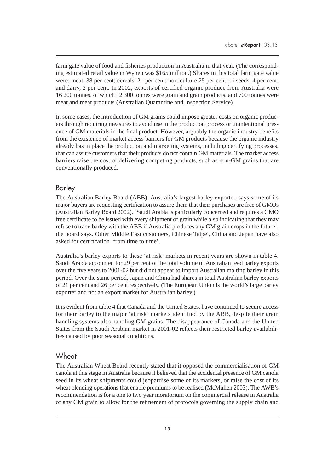farm gate value of food and fisheries production in Australia in that year. (The corresponding estimated retail value in Wynen was \$165 million.) Shares in this total farm gate value were: meat, 38 per cent; cereals, 21 per cent; horticulture 25 per cent; oilseeds, 4 per cent; and dairy, 2 per cent. In 2002, exports of certified organic produce from Australia were 16 200 tonnes, of which 12 300 tonnes were grain and grain products, and 700 tonnes were meat and meat products (Australian Quarantine and Inspection Service).

In some cases, the introduction of GM grains could impose greater costs on organic producers through requiring measures to avoid use in the production process or unintentional presence of GM materials in the final product. However, arguably the organic industry benefits from the existence of market access barriers for GM products because the organic industry already has in place the production and marketing systems, including certifying processes, that can assure customers that their products do not contain GM materials. The market access barriers raise the cost of delivering competing products, such as non-GM grains that are conventionally produced.

### Barley

The Australian Barley Board (ABB), Australia's largest barley exporter, says some of its major buyers are requesting certification to assure them that their purchases are free of GMOs (Australian Barley Board 2002). 'Saudi Arabia is particularly concerned and requires a GMO free certificate to be issued with every shipment of grain while also indicating that they may refuse to trade barley with the ABB if Australia produces any GM grain crops in the future', the board says. Other Middle East customers, Chinese Taipei, China and Japan have also asked for certification 'from time to time'.

Australia's barley exports to these 'at risk' markets in recent years are shown in table 4. Saudi Arabia accounted for 29 per cent of the total volume of Australian feed barley exports over the five years to 2001-02 but did not appear to import Australian malting barley in this period. Over the same period, Japan and China had shares in total Australian barley exports of 21 per cent and 26 per cent respectively. (The European Union is the world's large barley exporter and not an export market for Australian barley.)

It is evident from table 4 that Canada and the United States, have continued to secure access for their barley to the major 'at risk' markets identified by the ABB, despite their grain handling systems also handling GM grains. The disappearance of Canada and the United States from the Saudi Arabian market in 2001-02 reflects their restricted barley availabilities caused by poor seasonal conditions.

### **Wheat**

The Australian Wheat Board recently stated that it opposed the commercialisation of GM canola at this stage in Australia because it believed that the accidental presence of GM canola seed in its wheat shipments could jeopardise some of its markets, or raise the cost of its wheat blending operations that enable premiums to be realised (McMullen 2003). The AWB's recommendation is for a one to two year moratorium on the commercial release in Australia of any GM grain to allow for the refinement of protocols governing the supply chain and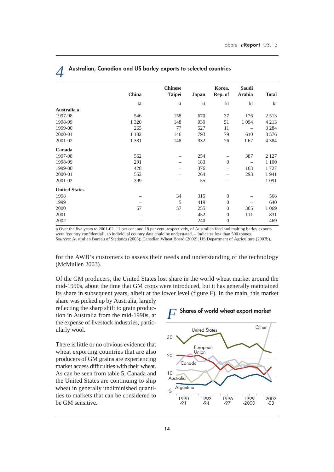| China   | <b>Chinese</b><br><b>Taipei</b> | Japan | Korea,<br>Rep. of | Saudi<br>Arabia | <b>Total</b> |
|---------|---------------------------------|-------|-------------------|-----------------|--------------|
| kt      | kt                              | kt    | kt                | kt              | kt           |
|         |                                 |       |                   |                 |              |
| 546     | 158                             | 670   | 37                | 176             | 2513         |
| 1 3 2 0 | 148                             | 930   | 51                | 1 0 9 4         | 4 2 1 3      |
| 265     | 77                              | 527   | 11                |                 | 3 2 8 4      |
| 1 1 8 2 | 146                             | 793   | 79                | 610             | 3576         |
| 1 3 8 1 | 148                             | 932   | 76                | 167             | 4 3 8 4      |
|         |                                 |       |                   |                 |              |
| 562     |                                 | 254   |                   | 387             | 2 1 2 7      |
| 291     |                                 | 183   | $\overline{0}$    |                 | 1 100        |
| 428     |                                 | 376   |                   | 163             | 1727         |
| 552     |                                 | 264   |                   | 293             | 1941         |
| 399     |                                 | 55    |                   | -               | 1 0 9 1      |
|         |                                 |       |                   |                 |              |
|         | 34                              | 315   | $\boldsymbol{0}$  |                 | 568          |
|         | 5                               | 419   | $\boldsymbol{0}$  |                 | 640          |
| 57      | 57                              | 255   | $\mathbf{0}$      | 305             | 1 0 6 9      |
|         |                                 | 452   | $\boldsymbol{0}$  | 111             | 831          |
|         |                                 | 240   | $\theta$          |                 | 469          |
|         |                                 |       |                   |                 |              |

### *4* **Australian, Canadian and US barley exports to selected countries**

**a** Over the five years to 2001-02, 11 per cent and 18 per cent, respectively, of Australian feed and malting barley exports were 'country confidential', so individual country data could be understated. – Indicates less than 500 tonnes. *Sources*: Australian Bureau of Statistics (2003); Canadian Wheat Board (2002); US Department of Agriculture (2003b).

for the AWB's customers to assess their needs and understanding of the technology (McMullen 2003).

Of the GM producers, the United States lost share in the world wheat market around the mid-1990s, about the time that GM crops were introduced, but it has generally maintained its share in subsequent years, albeit at the lower level (figure F). In the main, this market

share was picked up by Australia, largely reflecting the sharp shift to grain production in Australia from the mid-1990s, at the expense of livestock industries, particularly wool.

There is little or no obvious evidence that wheat exporting countries that are also producers of GM grains are experiencing market access difficulties with their wheat. As can be seen from table 5, Canada and the United States are continuing to ship wheat in generally undiminished quantities to markets that can be considered to be GM sensitive.

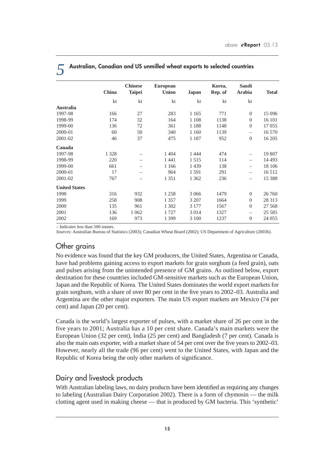|                      |         | <b>Chinese</b> | <b>European</b> |              | Korea,  | Saudi                    |              |
|----------------------|---------|----------------|-----------------|--------------|---------|--------------------------|--------------|
|                      | China   | <b>Taipei</b>  | <b>Union</b>    | <b>Japan</b> | Rep. of | Arabia                   | <b>Total</b> |
|                      | kt      | kt             | kt              | kt           | kt      | kt                       |              |
| <b>Australia</b>     |         |                |                 |              |         |                          |              |
| 1997-98              | 166     | 27             | 283             | 1 1 6 5      | 771     | $\theta$                 | 15 0 96      |
| 1998-99              | 174     | 32             | 164             | 1 1 0 8      | 1138    | $\theta$                 | 16 101       |
| 1999-00              | 136     | 72             | 361             | 1 1 8 8      | 1148    | $\Omega$                 | 17 055       |
| 2000-01              | 60      | 50             | 340             | 1 1 6 0      | 1139    | $\overline{\phantom{0}}$ | 16 570       |
| 2001-02              | 46      | 37             | 475             | 1 1 8 7      | 952     | $\theta$                 | 16 20 5      |
| Canada               |         |                |                 |              |         |                          |              |
| 1997-98              | 1 3 2 8 |                | 1 4 0 4         | 1444         | 474     | $\overline{\phantom{0}}$ | 19 807       |
| 1998-99              | 220     |                | 1441            | 1515         | 114     |                          | 14 4 93      |
| 1999-00              | 661     |                | 1 1 6 6         | 1 4 3 9      | 138     |                          | 18 10 6      |
| 2000-01              | 17      |                | 964             | 1591         | 291     | —                        | 16 5 12      |
| 2001-02              | 767     |                | 1 3 5 1         | 1 3 6 2      | 236     | —                        | 15 388       |
| <b>United States</b> |         |                |                 |              |         |                          |              |
| 1998                 | 316     | 932            | 1 2 5 8         | 3 0 6 6      | 1479    | $\theta$                 | 26 760       |
| 1999                 | 258     | 908            | 1 3 5 7         | 3 207        | 1664    | $\mathbf{0}$             | 28 313       |
| 2000                 | 135     | 961            | 1 302           | 3 1 7 7      | 1567    | $\Omega$                 | 27 5 68      |
| 2001                 | 136     | 1 0 6 2        | 1727            | 3 0 1 4      | 1327    | $\overline{\phantom{0}}$ | 25 5 85      |
| 2002                 | 169     | 973            | 1 3 9 9         | 3 100        | 1237    | $\Omega$                 | 24 055       |

*5* **Australian, Canadian and US unmilled wheat exports to selected countries**

– Indicates less than 500 tonnes.

*Sources*: Australian Bureau of Statistics (2003); Canadian Wheat Board (2002); US Department of Agriculture (2003b).

### Other grains

No evidence was found that the key GM producers, the United States, Argentina or Canada, have had problems gaining access to export markets for grain sorghum (a feed grain), oats and pulses arising from the unintended presence of GM grains. As outlined below, export destination for these countries included GM-sensitive markets such as the European Union, Japan and the Republic of Korea. The United States dominates the world export markets for grain sorghum, with a share of over 80 per cent in the five years to 2002–03. Australia and Argentina are the other major exporters. The main US export markets are Mexico (74 per cent) and Japan (20 per cent).

Canada is the world's largest exporter of pulses, with a market share of 26 per cent in the five years to 2001; Australia has a 10 per cent share. Canada's main markets were the European Union (32 per cent), India (25 per cent) and Bangladesh (7 per cent). Canada is also the main oats exporter, with a market share of 54 per cent over the five years to 2002–03. However, nearly all the trade (96 per cent) went to the United States, with Japan and the Republic of Korea being the only other markets of significance.

### Dairy and livestock products

With Australian labeling laws, no dairy products have been identified as requiring any changes to labeling (Australian Dairy Corporation 2002). There is a form of chymosin — the milk clotting agent used in making cheese — that is produced by GM bacteria. This 'synthetic'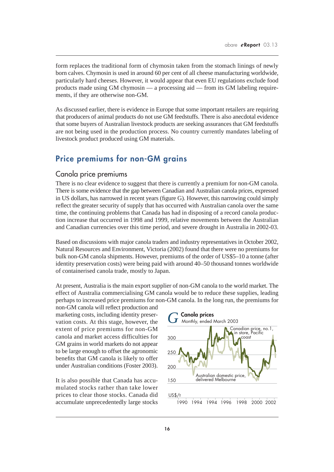form replaces the traditional form of chymosin taken from the stomach linings of newly born calves. Chymosin is used in around 60 per cent of all cheese manufacturing worldwide, particularly hard cheeses. However, it would appear that even EU regulations exclude food products made using GM chymosin — a processing aid — from its GM labeling requirements, if they are otherwise non-GM.

As discussed earlier, there is evidence in Europe that some important retailers are requiring that producers of animal products do not use GM feedstuffs. There is also anecdotal evidence that some buyers of Australian livestock products are seeking assurances that GM feedstuffs are not being used in the production process. No country currently mandates labeling of livestock product produced using GM materials.

### **Price premiums for non-GM grains**

### Canola price premiums

There is no clear evidence to suggest that there is currently a premium for non-GM canola. There is some evidence that the gap between Canadian and Australian canola prices, expressed in US dollars, has narrowed in recent years (figure G). However, this narrowing could simply reflect the greater security of supply that has occurred with Australian canola over the same time, the continuing problems that Canada has had in disposing of a record canola production increase that occurred in 1998 and 1999, relative movements between the Australian and Canadian currencies over this time period, and severe drought in Australia in 2002-03.

Based on discussions with major canola traders and industry representatives in October 2002, Natural Resources and Environment, Victoria (2002) found that there were no premiums for bulk non-GM canola shipments. However, premiums of the order of US\$5–10 a tonne (after identity preservation costs) were being paid with around 40–50 thousand tonnes worldwide of containerised canola trade, mostly to Japan.

At present, Australia is the main export supplier of non-GM canola to the world market. The effect of Australia commercialising GM canola would be to reduce these supplies, leading perhaps to increased price premiums for non-GM canola. In the long run, the premiums for

non-GM canola will reflect production and marketing costs, including identity preservation costs. At this stage, however, the extent of price premiums for non-GM canola and market access difficulties for GM grains in world markets do not appear to be large enough to offset the agronomic benefits that GM canola is likely to offer under Australian conditions (Foster 2003).

It is also possible that Canada has accumulated stocks rather than take lower prices to clear those stocks. Canada did accumulate unprecedentedly large stocks

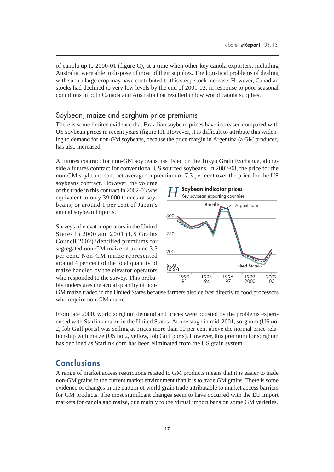of canola up to 2000-01 (figure C), at a time when other key canola exporters, including Australia, were able to dispose of most of their supplies. The logistical problems of dealing with such a large crop may have contributed to this steep stock increase. However, Canadian stocks had declined to very low levels by the end of 2001-02, in response to poor seasonal conditions in both Canada and Australia that resulted in low world canola supplies.

### Soybean, maize and sorghum price premiums

There is some limited evidence that Brazilian soybean prices have increased compared with US soybean prices in recent years (figure H). However, it is difficult to attribute this widening to demand for non-GM soybeans, because the price margin in Argentina (a GM producer) has also increased.

A futures contract for non-GM soybeans has listed on the Tokyo Grain Exchange, alongside a futures contract for conventional US sourced soybeans. In 2002-03, the price for the non-GM soybeans contract averaged a premium of 7.3 per cent over the price for the US

soybeans contract. However, the volume of the trade in this contract in 2002-03 was equivalent to only 39 000 tonnes of soybeans, or around 1 per cent of Japan's annual soybean imports.

Surveys of elevator operators in the United States in 2000 and 2001 (US Grains Council 2002) identified premiums for segregated non-GM maize of around 3.5 per cent. Non-GM maize represented around 4 per cent of the total quantity of maize handled by the elevator operators who responded to the survey. This probably understates the actual quantity of non-



GM maize traded in the United States because farmers also deliver directly to food processors who require non-GM maize.

From late 2000, world sorghum demand and prices were boosted by the problems experienced with Starlink maize in the United States. At one stage in mid-2001, sorghum (US no. 2, fob Gulf ports) was selling at prices more than 10 per cent above the normal price relationship with maize (US no.2, yellow, fob Gulf ports). However, this premium for sorghum has declined as Starlink corn has been eliminated from the US grain system.

### **Conclusions**

A range of market access restrictions related to GM products means that it is easier to trade non-GM grains in the current market environment than it is to trade GM grains. There is some evidence of changes in the pattern of world grain trade attributable to market access barriers for GM products. The most significant changes seem to have occurred with the EU import markets for canola and maize, due mainly to the virtual import bans on some GM varieties.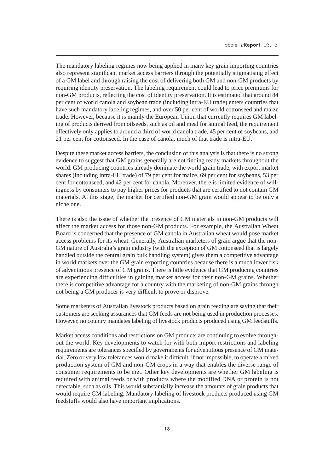The mandatory labeling regimes now being applied in many key grain importing countries also represent significant market access barriers through the potentially stigmatising effect of a GM label and through raising the cost of delivering both GM and non-GM products by requiring identity preservation. The labeling requirement could lead to price premiums for non-GM products, reflecting the cost of identity preservation. It is estimated that around 84 per cent of world canola and soybean trade (including intra-EU trade) enters countries that have such mandatory labeling regimes, and over 50 per cent of world cottonseed and maize trade. However, because it is mainly the European Union that currently requires GM labeling of products derived from oilseeds, such as oil and meal for animal feed, the requirement effectively only applies to around a third of world canola trade, 45 per cent of soybeans, and 21 per cent for cottonseed. In the case of canola, much of that trade is intra-EU.

Despite these market access barriers, the conclusion of this analysis is that there is no strong evidence to suggest that GM grains generally are not finding ready markets throughout the world. GM producing countries already dominate the world grain trade, with export market shares (including intra-EU trade) of 79 per cent for maize, 69 per cent for soybeans, 53 per cent for cottonseed, and 42 per cent for canola. Moreover, there is limited evidence of willingness by consumers to pay higher prices for products that are certified to not contain GM materials. At this stage, the market for certified non-GM grain would appear to be only a niche one.

There is also the issue of whether the presence of GM materials in non-GM products will affect the market access for those non-GM products. For example, the Australian Wheat Board is concerned that the presence of GM canola in Australian wheat would pose market access problems for its wheat. Generally, Australian marketers of grain argue that the non-GM nature of Australia's grain industry (with the exception of GM cottonseed that is largely handled outside the central grain bulk handling system) gives them a competitive advantage in world markets over the GM grain exporting countries because there is a much lower risk of adventitious presence of GM grains. There is little evidence that GM producing countries are experiencing difficulties in gaining market access for their non-GM grains. Whether there is competitive advantage for a country with the marketing of non-GM grains through not being a GM producer is very difficult to prove or disprove.

Some marketers of Australian livestock products based on grain feeding are saying that their customers are seeking assurances that GM feeds are not being used in production processes. However, no country mandates labeling of livestock products produced using GM feedstuffs.

Market access conditions and restrictions on GM products are continuing to evolve throughout the world. Key developments to watch for with both import restrictions and labeling requirements are tolerances specified by governments for adventitious presence of GM material. Zero or very low tolerances would make it difficult, if not impossible, to operate a mixed production system of GM and non-GM crops in a way that enables the diverse range of consumer requirements to be met. Other key developments are whether GM labeling is required with animal feeds or with products where the modified DNA or protein is not detectable, such as oils. This would substantially increase the amounts of grain products that would require GM labeling. Mandatory labeling of livestock products produced using GM feedstuffs would also have important implications.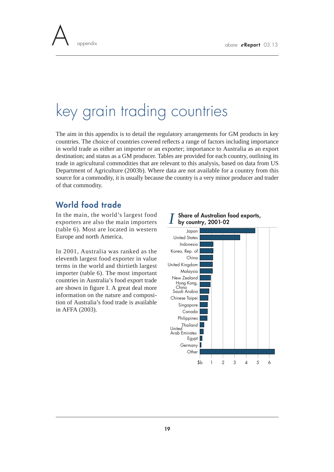

# key grain trading countries

The aim in this appendix is to detail the regulatory arrangements for GM products in key countries. The choice of countries covered reflects a range of factors including importance in world trade as either an importer or an exporter; importance to Australia as an export destination; and status as a GM producer. Tables are provided for each country, outlining its trade in agricultural commodities that are relevant to this analysis, based on data from US Department of Agriculture (2003b). Where data are not available for a country from this source for a commodity, it is usually because the country is a very minor producer and trader of that commodity.

### **World food trade**

In the main, the world's largest food exporters are also the main importers (table 6). Most are located in western Europe and north America.

In 2001, Australia was ranked as the eleventh largest food exporter in value terms in the world and thirtieth largest importer (table 6). The most important countries in Australia's food export trade are shown in figure I. A great deal more information on the nature and composition of Australia's food trade is available in AFFA (2003).



## **Share of Australian food exports,** *I* **by country, 2001-02**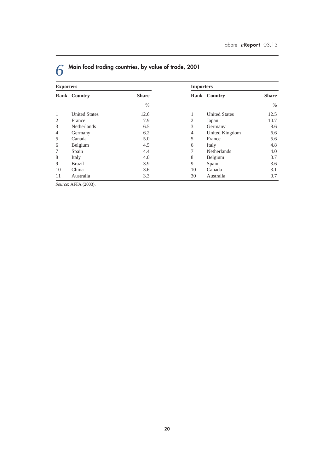| <b>Exporters</b> |                      |              | <b>Importers</b> |                      |              |
|------------------|----------------------|--------------|------------------|----------------------|--------------|
|                  | Rank Country         | <b>Share</b> |                  | Rank Country         | <b>Share</b> |
|                  |                      | $\%$         |                  |                      | $\%$         |
| 1                | <b>United States</b> | 12.6         | $\mathbf{1}$     | <b>United States</b> | 12.5         |
| 2                | France               | 7.9          | $\overline{2}$   | Japan                | 10.7         |
| 3                | <b>Netherlands</b>   | 6.5          | 3                | Germany              | 8.6          |
| $\overline{4}$   | Germany              | 6.2          | $\overline{4}$   | United Kingdom       | 6.6          |
| 5                | Canada               | 5.0          | 5                | France               | 5.6          |
| 6                | Belgium              | 4.5          | 6                | Italy                | 4.8          |
| 7                | Spain                | 4.4          | $\tau$           | <b>Netherlands</b>   | 4.0          |
| 8                | Italy                | 4.0          | 8                | Belgium              | 3.7          |
| 9                | <b>Brazil</b>        | 3.9          | 9                | Spain                | 3.6          |
| 10               | China                | 3.6          | 10               | Canada               | 3.1          |
| 11               | Australia            | 3.3          | 30               | Australia            | 0.7          |

# *6* **Main food trading countries, by value of trade, 2001**

*Source*: AFFA (2003).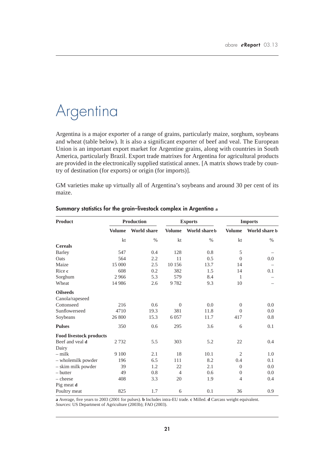## Argentina

Argentina is a major exporter of a range of grains, particularly maize, sorghum, soybeans and wheat (table below). It is also a significant exporter of beef and veal. The European Union is an important export market for Argentine grains, along with countries in South America, particularly Brazil. Export trade matrixes for Argentina for agricultural products are provided in the electronically supplied statistical annex. [A matrix shows trade by country of destination (for exports) or origin (for imports)].

GM varieties make up virtually all of Argentina's soybeans and around 30 per cent of its maize.

| <b>Product</b>                 |               | <b>Production</b>  |                | <b>Exports</b> | <b>Imports</b>   |               |  |
|--------------------------------|---------------|--------------------|----------------|----------------|------------------|---------------|--|
|                                | <b>Volume</b> | <b>World share</b> | <b>Volume</b>  | World share b  | <b>Volume</b>    | World share b |  |
|                                | kt            | $\%$               | kt             | $\%$           | kt               | $\%$          |  |
| <b>Cereals</b>                 |               |                    |                |                |                  |               |  |
| <b>Barley</b>                  | 547           | 0.4                | 128            | 0.8            | 5                |               |  |
| Oats                           | 564           | 2.2                | 11             | 0.5            | $\theta$         | 0.0           |  |
| Maize                          | 15 000        | 2.5                | 10 15 6        | 13.7           | 14               |               |  |
| Rice c                         | 608           | 0.2                | 382            | 1.5            | 14               | 0.1           |  |
| Sorghum                        | 2966          | 5.3                | 579            | 8.4            | 1                |               |  |
| Wheat                          | 14 9 8 6      | 2.6                | 9782           | 9.3            | 10               |               |  |
| <b>Oilseeds</b>                |               |                    |                |                |                  |               |  |
| Canola/rapeseed                |               |                    |                |                |                  |               |  |
| Cottonseed                     | 216           | 0.6                | $\overline{0}$ | 0.0            | $\theta$         | 0.0           |  |
| Sunflowerseed                  | 4710          | 19.3               | 381            | 11.8           | $\Omega$         | 0.0           |  |
| Soybeans                       | 26 800        | 15.3               | 6057           | 11.7           | 417              | 0.8           |  |
| <b>Pulses</b>                  | 350           | 0.6                | 295            | 3.6            | 6                | 0.1           |  |
| <b>Food livestock products</b> |               |                    |                |                |                  |               |  |
| Beef and yeal d                | 2732          | 5.5                | 303            | 5.2            | 22               | 0.4           |  |
| Dairy                          |               |                    |                |                |                  |               |  |
| $-$ milk                       | 9 100         | 2.1                | 18             | 10.1           | $\overline{2}$   | 1.0           |  |
| - wholemilk powder             | 196           | 6.5                | 111            | 8.2            | 0.4              | 0.1           |  |
| - skim milk powder             | 39            | 1.2                | 22             | 2.1            | $\theta$         | 0.0           |  |
| - butter                       | 49            | 0.8                | $\overline{4}$ | 0.6            | $\boldsymbol{0}$ | 0.0           |  |
| $-\text{cheese}$               | 408           | 3.3                | 20             | 1.9            | $\overline{4}$   | 0.4           |  |
| Pig meat d                     |               |                    |                |                |                  |               |  |
| Poultry meat                   | 825           | 1.7                | 6              | 0.1            | 36               | 0.9           |  |

### **Summary statistics for the grain–livestock complex in Argentina a**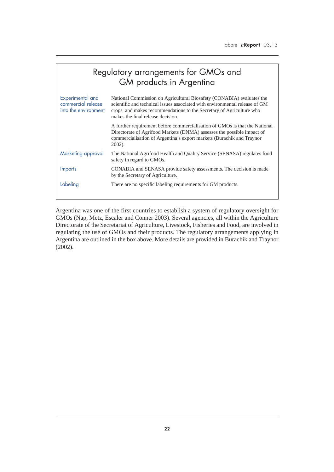| Regulatory arrangements for GMOs and<br>GM products in Argentina |                                                                                                                                                                                                                                                                  |  |  |  |  |
|------------------------------------------------------------------|------------------------------------------------------------------------------------------------------------------------------------------------------------------------------------------------------------------------------------------------------------------|--|--|--|--|
| Experimental and<br>commercial release<br>into the environment   | National Commission on Agricultural Biosafety (CONABIA) evaluates the<br>scientific and technical issues associated with environmental release of GM<br>crops and makes recommendations to the Secretary of Agriculture who<br>makes the final release decision. |  |  |  |  |
|                                                                  | A further requirement before commercialisation of GMOs is that the National<br>Directorate of Agrifood Markets (DNMA) assesses the possible impact of<br>commercialisation of Argentina's export markets (Burachik and Traynor<br>$2002$ ).                      |  |  |  |  |
| Marketing approval                                               | The National Agrifood Health and Quality Service (SENASA) regulates food<br>safety in regard to GMOs.                                                                                                                                                            |  |  |  |  |
| <b>Imports</b>                                                   | CONABIA and SENASA provide safety assessments. The decision is made<br>by the Secretary of Agriculture.                                                                                                                                                          |  |  |  |  |
| Labeling                                                         | There are no specific labeling requirements for GM products.                                                                                                                                                                                                     |  |  |  |  |

Argentina was one of the first countries to establish a system of regulatory oversight for GMOs (Nap, Metz, Escaler and Conner 2003). Several agencies, all within the Agriculture Directorate of the Secretariat of Agriculture, Livestock, Fisheries and Food, are involved in regulating the use of GMOs and their products. The regulatory arrangements applying in Argentina are outlined in the box above. More details are provided in Burachik and Traynor (2002).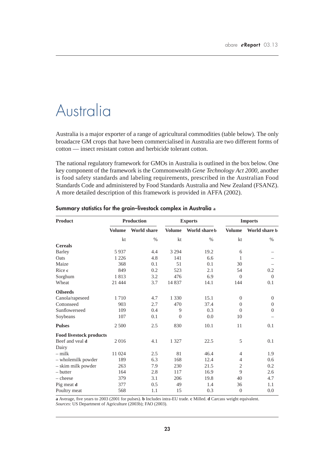## Australia

Australia is a major exporter of a range of agricultural commodities (table below). The only broadacre GM crops that have been commercialised in Australia are two different forms of cotton — insect resistant cotton and herbicide tolerant cotton.

The national regulatory framework for GMOs in Australia is outlined in the box below. One key component of the framework is the Commonwealth *Gene Technology Act 2000*, another is food safety standards and labeling requirements, prescribed in the Australian Food Standards Code and administered by Food Standards Australia and New Zealand (FSANZ). A more detailed description of this framework is provided in AFFA (2002).

| <b>Product</b>                 |               | <b>Production</b>  |               | <b>Exports</b> | <b>Imports</b> |               |
|--------------------------------|---------------|--------------------|---------------|----------------|----------------|---------------|
|                                | <b>Volume</b> | <b>World share</b> | <b>Volume</b> | World share b  | <b>Volume</b>  | World share b |
|                                | kt            | $\%$               | kt            | $\%$           | kt             | $\%$          |
| <b>Cereals</b>                 |               |                    |               |                |                |               |
| <b>Barley</b>                  | 5937          | 4.4                | 3 2 9 4       | 19.2           | 6              |               |
| Oats                           | 1 2 2 6       | 4.8                | 141           | 6.6            | 1              |               |
| Maize                          | 368           | 0.1                | 51            | 0.1            | 30             |               |
| Rice c                         | 849           | 0.2                | 523           | 2.1            | 54             | 0.2           |
| Sorghum                        | 1813          | 3.2                | 476           | 6.9            | $\Omega$       | $\Omega$      |
| Wheat                          | 21 4 4 4      | 3.7                | 14 8 37       | 14.1           | 144            | 0.1           |
| <b>Oilseeds</b>                |               |                    |               |                |                |               |
| Canola/rapeseed                | 1710          | 4.7                | 1 3 3 0       | 15.1           | $\theta$       | $\theta$      |
| Cottonseed                     | 903           | 2.7                | 470           | 37.4           | $\Omega$       | $\Omega$      |
| Sunflowerseed                  | 109           | 0.4                | 9             | 0.3            | $\overline{0}$ | $\theta$      |
| Soybeans                       | 107           | 0.1                | $\Omega$      | 0.0            | 10             |               |
| <b>Pulses</b>                  | 2 500         | 2.5                | 830           | 10.1           | 11             | 0.1           |
| <b>Food livestock products</b> |               |                    |               |                |                |               |
| Beef and yeal d                | 2016          | 4.1                | 1 3 2 7       | 22.5           | 5              | 0.1           |
| Dairy                          |               |                    |               |                |                |               |
| $-$ milk                       | 11 024        | 2.5                | 81            | 46.4           | $\overline{4}$ | 1.9           |
| - wholemilk powder             | 189           | 6.3                | 168           | 12.4           | $\overline{4}$ | 0.6           |
| - skim milk powder             | 263           | 7.9                | 230           | 21.5           | $\overline{2}$ | 0.2           |
| $-$ butter                     | 164           | 2.8                | 117           | 16.9           | 9              | 2.6           |
| $-$ cheese                     | 379           | 3.1                | 206           | 19.8           | 40             | 4.7           |
| Pig meat d                     | 377           | 0.5                | 49            | 1.4            | 36             | 1.1           |
| Poultry meat                   | 568           | 1.1                | 15            | 0.3            | $\overline{0}$ | 0.0           |

### **Summary statistics for the grain–livestock complex in Australia a**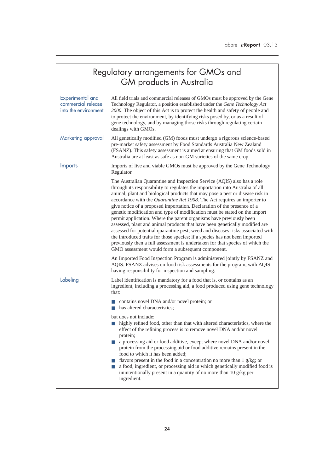|                                                                | Regulatory arrangements for GMOs and<br><b>GM</b> products in Australia                                                                                                                                                                                                                                                                                                                                                                                                                                                                                                                                                                                                                                                                                                                                                                                                                                                                      |  |  |  |  |  |
|----------------------------------------------------------------|----------------------------------------------------------------------------------------------------------------------------------------------------------------------------------------------------------------------------------------------------------------------------------------------------------------------------------------------------------------------------------------------------------------------------------------------------------------------------------------------------------------------------------------------------------------------------------------------------------------------------------------------------------------------------------------------------------------------------------------------------------------------------------------------------------------------------------------------------------------------------------------------------------------------------------------------|--|--|--|--|--|
| Experimental and<br>commercial release<br>into the environment | All field trials and commercial releases of GMOs must be approved by the Gene<br>Technology Regulator, a position established under the Gene Technology Act<br>2000. The object of this Act is to protect the health and safety of people and<br>to protect the environment, by identifying risks posed by, or as a result of<br>gene technology, and by managing those risks through regulating certain<br>dealings with GMOs.                                                                                                                                                                                                                                                                                                                                                                                                                                                                                                              |  |  |  |  |  |
| Marketing approval                                             | All genetically modified (GM) foods must undergo a rigorous science-based<br>pre-market safety assessment by Food Standards Australia New Zealand<br>(FSANZ). This safety assessment is aimed at ensuring that GM foods sold in<br>Australia are at least as safe as non-GM varieties of the same crop.                                                                                                                                                                                                                                                                                                                                                                                                                                                                                                                                                                                                                                      |  |  |  |  |  |
| <b>Imports</b>                                                 | Imports of live and viable GMOs must be approved by the Gene Technology<br>Regulator.                                                                                                                                                                                                                                                                                                                                                                                                                                                                                                                                                                                                                                                                                                                                                                                                                                                        |  |  |  |  |  |
|                                                                | The Australian Quarantine and Inspection Service (AQIS) also has a role<br>through its responsibility to regulates the importation into Australia of all<br>animal, plant and biological products that may pose a pest or disease risk in<br>accordance with the Quarantine Act 1908. The Act requires an importer to<br>give notice of a proposed importation. Declaration of the presence of a<br>genetic modification and type of modification must be stated on the import<br>permit application. Where the parent organisms have previously been<br>assessed, plant and animal products that have been genetically modified are<br>assessed for potential quarantine pest, weed and diseases risks associated with<br>the introduced traits for those species; if a species has not been imported<br>previously then a full assessment is undertaken for that species of which the<br>GMO assessment would form a subsequent component. |  |  |  |  |  |
|                                                                | An Imported Food Inspection Program is administered jointly by FSANZ and<br>AQIS. FSANZ advises on food risk assessments for the program, with AQIS<br>having responsibility for inspection and sampling.                                                                                                                                                                                                                                                                                                                                                                                                                                                                                                                                                                                                                                                                                                                                    |  |  |  |  |  |
| Labeling                                                       | Label identification is mandatory for a food that is, or contains as an<br>ingredient, including a processing aid, a food produced using gene technology<br>that:                                                                                                                                                                                                                                                                                                                                                                                                                                                                                                                                                                                                                                                                                                                                                                            |  |  |  |  |  |
|                                                                | contains novel DNA and/or novel protein; or<br>ш<br>has altered characteristics;<br><b>The Second</b>                                                                                                                                                                                                                                                                                                                                                                                                                                                                                                                                                                                                                                                                                                                                                                                                                                        |  |  |  |  |  |
|                                                                | but does not include:<br>highly refined food, other than that with altered characteristics, where the<br>effect of the refining process is to remove novel DNA and/or novel<br>protein;<br>a processing aid or food additive, except where novel DNA and/or novel<br><b>College</b><br>protein from the processing aid or food additive remains present in the<br>food to which it has been added;<br>flavors present in the food in a concentration no more than $1 g/kg$ ; or<br>a food, ingredient, or processing aid in which genetically modified food is<br>unintentionally present in a quantity of no more than 10 g/kg per<br>ingredient.                                                                                                                                                                                                                                                                                           |  |  |  |  |  |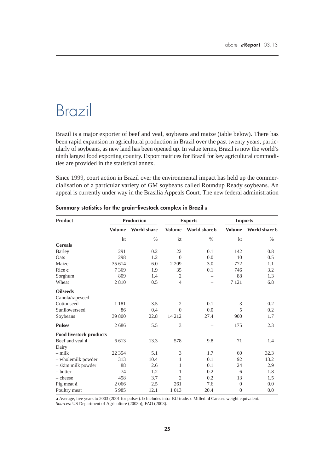## Brazil

Brazil is a major exporter of beef and veal, soybeans and maize (table below). There has been rapid expansion in agricultural production in Brazil over the past twenty years, particularly of soybeans, as new land has been opened up. In value terms, Brazil is now the world's ninth largest food exporting country. Export matrices for Brazil for key agricultural commodities are provided in the statistical annex.

Since 1999, court action in Brazil over the environmental impact has held up the commercialisation of a particular variety of GM soybeans called Roundup Ready soybeans. An appeal is currently under way in the Brasilia Appeals Court. The new federal administration

| <b>Product</b>                 | <b>Production</b> |                    | <b>Exports</b> |               | <b>Imports</b>   |               |
|--------------------------------|-------------------|--------------------|----------------|---------------|------------------|---------------|
|                                | <b>Volume</b>     | <b>World share</b> | <b>Volume</b>  | World share b | <b>Volume</b>    | World share b |
|                                | kt                | $\%$               | kt             | $\%$          | kt               | $\%$          |
| <b>Cereals</b>                 |                   |                    |                |               |                  |               |
| <b>Barley</b>                  | 291               | 0.2                | 22             | 0.1           | 142              | 0.8           |
| Oats                           | 298               | 1.2                | $\Omega$       | 0.0           | 10               | 0.5           |
| Maize                          | 35 614            | 6.0                | 2 2 0 9        | 3.0           | 772              | 1.1           |
| Rice c                         | 7 3 6 9           | 1.9                | 35             | 0.1           | 746              | 3.2           |
| Sorghum                        | 809               | 1.4                | $\mathfrak{2}$ |               | 88               | 1.3           |
| Wheat                          | 2810              | 0.5                | $\overline{4}$ |               | 7 1 2 1          | 6.8           |
| <b>Oilseeds</b>                |                   |                    |                |               |                  |               |
| Canola/rapeseed                |                   |                    |                |               |                  |               |
| Cottonseed                     | 1 1 8 1           | 3.5                | $\mathfrak{2}$ | 0.1           | 3                | 0.2           |
| Sunflowerseed                  | 86                | 0.4                | $\Omega$       | 0.0           | 5                | 0.2           |
| Soybeans                       | 39 800            | 22.8               | 14 2 12        | 27.4          | 900              | 1.7           |
| <b>Pulses</b>                  | 2686              | 5.5                | 3              |               | 175              | 2.3           |
| <b>Food livestock products</b> |                   |                    |                |               |                  |               |
| Beef and yeal d                | 6 6 1 3           | 13.3               | 578            | 9.8           | 71               | 1.4           |
| Dairy                          |                   |                    |                |               |                  |               |
| $-$ milk                       | 22 3 5 4          | 5.1                | 3              | 1.7           | 60               | 32.3          |
| - wholemilk powder             | 313               | 10.4               | 1              | 0.1           | 92               | 13.2          |
| - skim milk powder             | 88                | 2.6                | 1              | 0.1           | 24               | 2.9           |
| - butter                       | 74                | 1.2                | 1              | 0.2           | 6                | 1.8           |
| $-$ cheese                     | 458               | 3.7                | $\overline{2}$ | 0.2           | 13               | 1.5           |
| Pig meat d                     | 2066              | 2.5                | 261            | 7.6           | $\overline{0}$   | 0.0           |
| Poultry meat                   | 5 9 8 5           | 12.1               | 1 0 1 3        | 20.4          | $\boldsymbol{0}$ | 0.0           |

### **Summary statistics for the grain–livestock complex in Brazil a**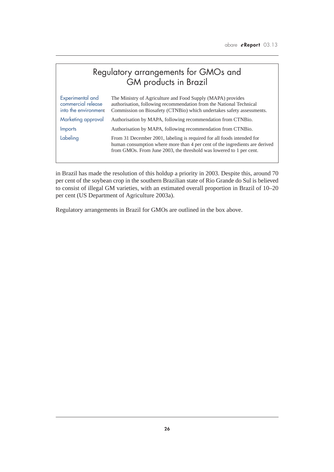## Regulatory arrangements for GMOs and GM products in Brazil

| Experimental and<br>commercial release<br>into the environment | The Ministry of Agriculture and Food Supply (MAPA) provides<br>authorisation, following recommendation from the National Technical<br>Commission on Biosafety (CTNBio) which undertakes safety assessments.                  |
|----------------------------------------------------------------|------------------------------------------------------------------------------------------------------------------------------------------------------------------------------------------------------------------------------|
| Marketing approval                                             | Authorisation by MAPA, following recommendation from CTNBio.                                                                                                                                                                 |
| <b>Imports</b>                                                 | Authorisation by MAPA, following recommendation from CTNBio.                                                                                                                                                                 |
| Labeling                                                       | From 31 December 2001, labeling is required for all foods intended for<br>human consumption where more than 4 per cent of the ingredients are derived<br>from GMOs. From June 2003, the threshold was lowered to 1 per cent. |

in Brazil has made the resolution of this holdup a priority in 2003. Despite this, around 70 per cent of the soybean crop in the southern Brazilian state of Rio Grande do Sul is believed to consist of illegal GM varieties, with an estimated overall proportion in Brazil of 10–20 per cent (US Department of Agriculture 2003a).

Regulatory arrangements in Brazil for GMOs are outlined in the box above.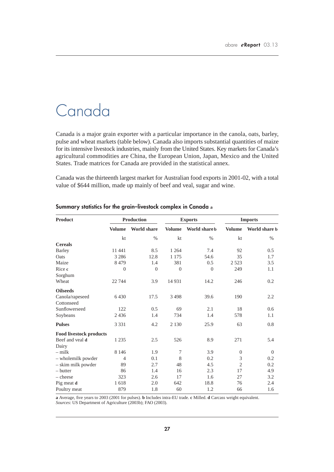## Canada

Canada is a major grain exporter with a particular importance in the canola, oats, barley, pulse and wheat markets (table below). Canada also imports substantial quantities of maize for its intensive livestock industries, mainly from the United States. Key markets for Canada's agricultural commodities are China, the European Union, Japan, Mexico and the United States. Trade matrices for Canada are provided in the statistical annex.

Canada was the thirteenth largest market for Australian food exports in 2001-02, with a total value of \$644 million, made up mainly of beef and veal, sugar and wine.

| <b>Product</b>                 | <b>Production</b> |                    | <b>Exports</b> |               | <b>Imports</b> |               |
|--------------------------------|-------------------|--------------------|----------------|---------------|----------------|---------------|
|                                | <b>Volume</b>     | <b>World share</b> | <b>Volume</b>  | World share b | <b>Volume</b>  | World share b |
|                                | kt                | $\%$               | kt             | $\%$          | kt             | $\%$          |
| <b>Cereals</b>                 |                   |                    |                |               |                |               |
| <b>Barley</b>                  | 11 441            | 8.5                | 1 2 6 4        | 7.4           | 92             | 0.5           |
| Oats                           | 3 2 8 6           | 12.8               | 1 1 7 5        | 54.6          | 35             | 1.7           |
| Maize                          | 8479              | 1.4                | 381            | 0.5           | 2 5 2 3        | 3.5           |
| Rice c                         | $\theta$          | $\Omega$           | $\Omega$       | $\Omega$      | 249            | 1.1           |
| Sorghum                        |                   |                    |                |               |                |               |
| Wheat                          | 22 744            | 3.9                | 14 9 31        | 14.2          | 246            | 0.2           |
| <b>Oilseeds</b>                |                   |                    |                |               |                |               |
| Canola/rapeseed                | 6430              | 17.5               | 3498           | 39.6          | 190            | 2.2           |
| Cottonseed                     |                   |                    |                |               |                |               |
| Sunflowerseed                  | 122               | 0.5                | 69             | 2.1           | 18             | 0.6           |
| Soybeans                       | 2436              | 1.4                | 734            | 1.4           | 578            | 1.1           |
| <b>Pulses</b>                  | 3 3 3 1           | 4.2                | 2 1 3 0        | 25.9          | 63             | 0.8           |
| <b>Food livestock products</b> |                   |                    |                |               |                |               |
| Beef and yeal d                | 1 2 3 5           | 2.5                | 526            | 8.9           | 271            | 5.4           |
| Dairy                          |                   |                    |                |               |                |               |
| $-$ milk                       | 8 1 4 6           | 1.9                | $\tau$         | 3.9           | $\mathbf{0}$   | $\Omega$      |
| - wholemilk powder             | $\overline{4}$    | 0.1                | 8              | 0.2           | $\mathfrak{Z}$ | 0.2           |
| - skim milk powder             | 89                | 2.7                | 48             | 4.5           | $\overline{2}$ | 0.2           |
| - butter                       | 86                | 1.4                | 16             | 2.3           | 17             | 4.9           |
| $-\text{cheese}$               | 323               | 2.6                | 17             | 1.6           | 27             | 3.2           |
| Pig meat d                     | 1618              | 2.0                | 642            | 18.8          | 76             | 2.4           |
| Poultry meat                   | 879               | 1.8                | 60             | 1.2           | 66             | 1.6           |

### **Summary statistics for the grain–livestock complex in Canada a**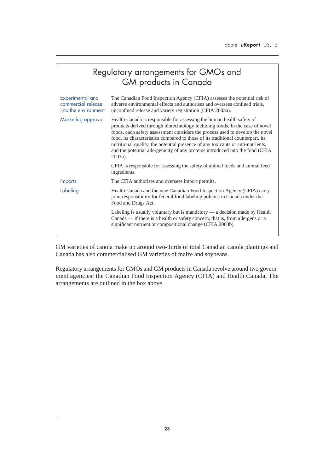|                                                                | Regulatory arrangements for GMOs and<br><b>GM</b> products in Canada                                                                                                                                                                                                                                                                                                                                                                                                                                         |
|----------------------------------------------------------------|--------------------------------------------------------------------------------------------------------------------------------------------------------------------------------------------------------------------------------------------------------------------------------------------------------------------------------------------------------------------------------------------------------------------------------------------------------------------------------------------------------------|
| Experimental and<br>commercial release<br>into the environment | The Canadian Food Inspection Agency (CFIA) assesses the potential risk of<br>adverse environmental effects and authorises and oversees confined trials,<br>unconfined release and variety registration (CFIA 2003a).                                                                                                                                                                                                                                                                                         |
| Marketing approval                                             | Health Canada is responsible for assessing the human health safety of<br>products derived through biotechnology including foods. In the case of novel<br>foods, each safety assessment considers the process used to develop the novel<br>food, its characteristics compared to those of its traditional counterpart, its<br>nutritional quality, the potential presence of any toxicants or anti-nutrients,<br>and the potential allergenicity of any proteins introduced into the food (CFIA<br>$2003a$ ). |
|                                                                | CFIA is responsible for assessing the safety of animal feeds and animal feed<br>ingredients.                                                                                                                                                                                                                                                                                                                                                                                                                 |
| <b>Imports</b>                                                 | The CFIA authorises and oversees import permits.                                                                                                                                                                                                                                                                                                                                                                                                                                                             |
| Labeling                                                       | Health Canada and the new Canadian Food Inspection Agency (CFIA) carry<br>joint responsibility for federal food labeling policies in Canada under the<br>Food and Drugs Act.                                                                                                                                                                                                                                                                                                                                 |
|                                                                | Labeling is usually voluntary but is mandatory - a decision made by Health<br>Canada — if there is a health or safety concern, that is, from allergens or a<br>significant nutrient or compositional change (CFIA 2003b).                                                                                                                                                                                                                                                                                    |

GM varieties of canola make up around two-thirds of total Canadian canola plantings and Canada has also commercialised GM varieties of maize and soybeans.

Regulatory arrangements for GMOs and GM products in Canada revolve around two government agencies: the Canadian Food Inspection Agency (CFIA) and Health Canada. The arrangements are outlined in the box above.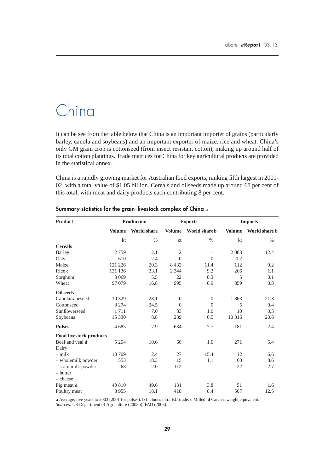# China

It can be see from the table below that China is an important importer of grains (particularly barley, canola and soybeans) and an important exporter of maize, rice and wheat. China's only GM grain crop is cottonseed (from insect resistant cotton), making up around half of its total cotton plantings. Trade matrices for China for key agricultural products are provided in the statistical annex.

China is a rapidly growing market for Australian food exports, ranking fifth largest in 2001- 02, with a total value of \$1.05 billion. Cereals and oilseeds made up around 68 per cent of this total, with meat and dairy products each contributing 8 per cent.

| <b>Product</b>                 | <b>Production</b> |                    | <b>Exports</b> |                          | <b>Imports</b> |               |
|--------------------------------|-------------------|--------------------|----------------|--------------------------|----------------|---------------|
|                                | <b>Volume</b>     | <b>World share</b> | <b>Volume</b>  | World share b            | <b>Volume</b>  | World share b |
|                                | kt                | $\%$               | kt             | $\%$                     | kt             | $\%$          |
| <b>Cereals</b>                 |                   |                    |                |                          |                |               |
| <b>Barley</b>                  | 2759              | 2.1                | $\mathfrak{2}$ | $\overline{\phantom{m}}$ | 2083           | 12.4          |
| Oats                           | 610               | 2.4                | $\theta$       | $\Omega$                 | 0.2            |               |
| Maize                          | 121 226           | 20.3               | 8432           | 11.4                     | 112            | 0.2           |
| Rice c                         | 131 136           | 33.1               | 2 3 4 4        | 9.2                      | 266            | 1.1           |
| Sorghum                        | 3 0 6 9           | 5.5                | 22             | 0.3                      | 5              | 0.1           |
| Wheat                          | 97 079            | 16.8               | 995            | 0.9                      | 859            | 0.8           |
| <b>Oilseeds</b>                |                   |                    |                |                          |                |               |
| Canola/rapeseed                | 10 3 29           | 28.1               | $\theta$       | $\theta$                 | 1863           | 21.3          |
| Cottonseed                     | 8 2 7 4           | 24.5               | $\Omega$       | $\theta$                 | 5              | 0.4           |
| Sunflowerseed                  | 1711              | 7.0                | 33             | 1.0                      | 10             | 0.3           |
| Soybeans                       | 15 330            | 8.8                | 239            | 0.5                      | 10816          | 20.6          |
| <b>Pulses</b>                  | 4685              | 7.9                | 634            | 7.7                      | 181            | 2.4           |
| <b>Food livestock products</b> |                   |                    |                |                          |                |               |
| Beef and yeal d                | 5 2 5 4           | 10.6               | 60             | 1.0                      | 271            | 5.4           |
| Dairy                          |                   |                    |                |                          |                |               |
| $-$ milk                       | 10 709            | 2.4                | 27             | 15.4                     | 12             | 6.6           |
| - wholemilk powder             | 553               | 18.3               | 15             | 1.1                      | 60             | 8.6           |
| - skim milk powder             | 68                | 2.0                | 0.2            |                          | 22             | 2.7           |
| – butter                       |                   |                    |                |                          |                |               |
| $-\text{cheese}$               |                   |                    |                |                          |                |               |
| Pig meat d                     | 40 810            | 49.6               | 131            | 3.8                      | 51             | 1.6           |
| Poultry meat                   | 8955              | 18.1               | 418            | 8.4                      | 507            | 12.5          |

### **Summary statistics for the grain–livestock complex of China a**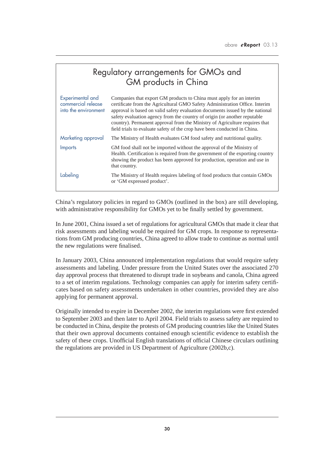| Regulatory arrangements for GMOs and<br>GM products in China   |                                                                                                                                                                                                                                                                                                                                                                                                                                                                               |  |  |  |  |
|----------------------------------------------------------------|-------------------------------------------------------------------------------------------------------------------------------------------------------------------------------------------------------------------------------------------------------------------------------------------------------------------------------------------------------------------------------------------------------------------------------------------------------------------------------|--|--|--|--|
| Experimental and<br>commercial release<br>into the environment | Companies that export GM products to China must apply for an interim<br>certificate from the Agricultural GMO Safety Administration Office. Interim<br>approval is based on valid safety evaluation documents issued by the national<br>safety evaluation agency from the country of origin (or another reputable<br>country). Permanent approval from the Ministry of Agriculture requires that<br>field trials to evaluate safety of the crop have been conducted in China. |  |  |  |  |
| Marketing approval                                             | The Ministry of Health evaluates GM food safety and nutritional quality.                                                                                                                                                                                                                                                                                                                                                                                                      |  |  |  |  |
| <b>Imports</b>                                                 | GM food shall not be imported without the approval of the Ministry of<br>Health. Certification is required from the government of the exporting country<br>showing the product has been approved for production, operation and use in<br>that country.                                                                                                                                                                                                                        |  |  |  |  |
| Labeling                                                       | The Ministry of Health requires labeling of food products that contain GMOs<br>or 'GM expressed product'.                                                                                                                                                                                                                                                                                                                                                                     |  |  |  |  |

China's regulatory policies in regard to GMOs (outlined in the box) are still developing, with administrative responsibility for GMOs yet to be finally settled by government.

In June 2001, China issued a set of regulations for agricultural GMOs that made it clear that risk assessments and labeling would be required for GM crops. In response to representations from GM producing countries, China agreed to allow trade to continue as normal until the new regulations were finalised.

In January 2003, China announced implementation regulations that would require safety assessments and labeling. Under pressure from the United States over the associated 270 day approval process that threatened to disrupt trade in soybeans and canola, China agreed to a set of interim regulations. Technology companies can apply for interim safety certificates based on safety assessments undertaken in other countries, provided they are also applying for permanent approval.

Originally intended to expire in December 2002, the interim regulations were first extended to September 2003 and then later to April 2004. Field trials to assess safety are required to be conducted in China, despite the protests of GM producing countries like the United States that their own approval documents contained enough scientific evidence to establish the safety of these crops. Unofficial English translations of official Chinese circulars outlining the regulations are provided in US Department of Agriculture (2002b,c).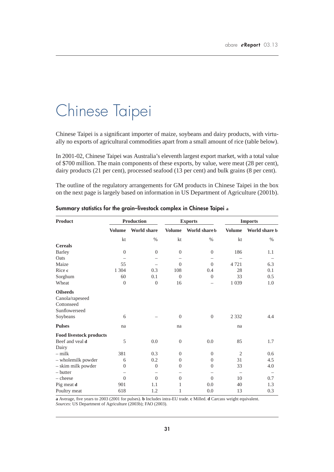# Chinese Taipei

Chinese Taipei is a significant importer of maize, soybeans and dairy products, with virtually no exports of agricultural commodities apart from a small amount of rice (table below).

In 2001-02, Chinese Taipei was Australia's eleventh largest export market, with a total value of \$700 million. The main components of these exports, by value, were meat (28 per cent), dairy products (21 per cent), processed seafood (13 per cent) and bulk grains (8 per cent).

The outline of the regulatory arrangements for GM products in Chinese Taipei in the box on the next page is largely based on information in US Department of Agriculture (2001b).

| Product                        | <b>Production</b> |                          | <b>Exports</b>           |                   | <b>Imports</b> |               |
|--------------------------------|-------------------|--------------------------|--------------------------|-------------------|----------------|---------------|
|                                | <b>Volume</b>     | <b>World share</b>       | <b>Volume</b>            | World share b     | <b>Volume</b>  | World share b |
|                                | kt                | $\%$                     | kt                       | $\%$              | kt             | $\%$          |
| <b>Cereals</b>                 |                   |                          |                          |                   |                |               |
| <b>Barley</b>                  | $\theta$          | $\theta$                 | $\theta$                 | $\overline{0}$    | 186            | 1.1           |
| Oats                           | $\qquad \qquad$   |                          | $\overline{\phantom{0}}$ | $\qquad \qquad -$ |                |               |
| Maize                          | 55                |                          | $\Omega$                 | $\theta$          | 4 7 2 1        | 6.3           |
| Rice c                         | 1 3 0 4           | 0.3                      | 108                      | 0.4               | 28             | 0.1           |
| Sorghum                        | 60                | 0.1                      | $\Omega$                 | $\Omega$          | 33             | 0.5           |
| Wheat                          | $\theta$          | $\mathbf{0}$             | 16                       |                   | 1 0 3 9        | 1.0           |
| <b>Oilseeds</b>                |                   |                          |                          |                   |                |               |
| Canola/rapeseed                |                   |                          |                          |                   |                |               |
| Cottonseed                     |                   |                          |                          |                   |                |               |
| Sunflowerseed                  |                   |                          |                          |                   |                |               |
| Soybeans                       | 6                 |                          | $\overline{0}$           | $\overline{0}$    | 2 3 3 2        | 4.4           |
| <b>Pulses</b>                  | na                |                          | na                       |                   | na             |               |
| <b>Food livestock products</b> |                   |                          |                          |                   |                |               |
| Beef and yeal d                | 5                 | 0.0                      | $\theta$                 | 0.0               | 85             | 1.7           |
| Dairy                          |                   |                          |                          |                   |                |               |
| $-$ milk                       | 381               | 0.3                      | $\boldsymbol{0}$         | $\theta$          | $\mathfrak{2}$ | 0.6           |
| - wholemilk powder             | 6                 | 0.2                      | $\theta$                 | $\overline{0}$    | 31             | 4.5           |
| - skim milk powder             | $\theta$          | $\mathbf{0}$             | $\theta$                 | $\theta$          | 33             | 4.0           |
| - butter                       |                   | $\overline{\phantom{0}}$ |                          |                   |                |               |
| - cheese                       | $\Omega$          | $\theta$                 | $\theta$                 | $\Omega$          | 10             | 0.7           |
| Pig meat d                     | 901               | 1.1                      | $\mathbf{1}$             | 0.0               | 40             | 1.3           |
| Poultry meat                   | 618               | 1.2                      | 1                        | 0.0               | 13             | 0.3           |

**Summary statistics for the grain–livestock complex in Chinese Taipei a**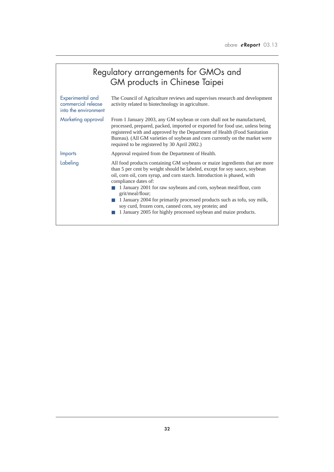|                                                                | Regulatory arrangements for GMOs and<br>GM products in Chinese Taipei                                                                                                                                                                                                                                                                                                                                                                                                                                                                                         |
|----------------------------------------------------------------|---------------------------------------------------------------------------------------------------------------------------------------------------------------------------------------------------------------------------------------------------------------------------------------------------------------------------------------------------------------------------------------------------------------------------------------------------------------------------------------------------------------------------------------------------------------|
| Experimental and<br>commercial release<br>into the environment | The Council of Agriculture reviews and supervises research and development<br>activity related to biotechnology in agriculture.                                                                                                                                                                                                                                                                                                                                                                                                                               |
| Marketing approval                                             | From 1 January 2003, any GM soybean or corn shall not be manufactured,<br>processed, prepared, packed, imported or exported for food use, unless being<br>registered with and approved by the Department of Health (Food Sanitation<br>Bureau). (All GM varieties of soybean and corn currently on the market were<br>required to be registered by 30 April 2002.)                                                                                                                                                                                            |
| Imports                                                        | Approval required from the Department of Health.                                                                                                                                                                                                                                                                                                                                                                                                                                                                                                              |
| Labeling                                                       | All food products containing GM soybeans or maize ingredients that are more<br>than 5 per cent by weight should be labeled, except for soy sauce, soybean<br>oil, corn oil, corn syrup, and corn starch. Introduction is phased, with<br>compliance dates of:<br>1 January 2001 for raw soybeans and corn, soybean meal/flour, corn<br>grit/meal/flour;<br>1 January 2004 for primarily processed products such as tofu, soy milk,<br>soy curd, frozen corn, canned corn, soy protein; and<br>1 January 2005 for highly processed soybean and maize products. |

ſ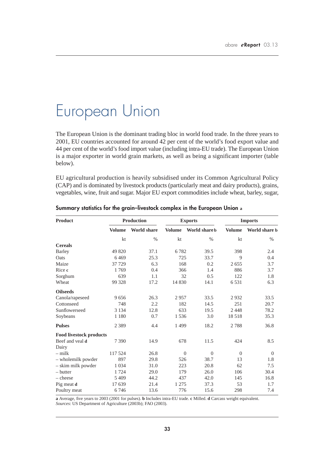# European Union

The European Union is the dominant trading bloc in world food trade. In the three years to 2001, EU countries accounted for around 42 per cent of the world's food export value and 44 per cent of the world's food import value (including intra-EU trade). The European Union is a major exporter in world grain markets, as well as being a significant importer (table below).

EU agricultural production is heavily subsidised under its Common Agricultural Policy (CAP) and is dominated by livestock products (particularly meat and dairy products), grains, vegetables, wine, fruit and sugar. Major EU export commodities include wheat, barley, sugar,

| <b>Product</b>                 | <b>Production</b> |                    |               | <b>Exports</b> | <b>Imports</b> |               |
|--------------------------------|-------------------|--------------------|---------------|----------------|----------------|---------------|
|                                | <b>Volume</b>     | <b>World share</b> | <b>Volume</b> | World share b  | <b>Volume</b>  | World share b |
|                                | kt                | $\%$               | kt            | $\%$           | kt             | $\%$          |
| <b>Cereals</b>                 |                   |                    |               |                |                |               |
| <b>Barley</b>                  | 49 820            | 37.1               | 6782          | 39.5           | 398            | 2.4           |
| Oats                           | 6469              | 25.3               | 725           | 33.7           | 9              | 0.4           |
| Maize                          | 37 7 29           | 6.3                | 168           | 0.2            | 2655           | 3.7           |
| Rice c                         | 1769              | 0.4                | 366           | 1.4            | 886            | 3.7           |
| Sorghum                        | 639               | 1.1                | 32            | 0.5            | 122            | 1.8           |
| Wheat                          | 99 328            | 17.2               | 14 8 30       | 14.1           | 6531           | 6.3           |
| <b>Oilseeds</b>                |                   |                    |               |                |                |               |
| Canola/rapeseed                | 9656              | 26.3               | 2957          | 33.5           | 2932           | 33.5          |
| Cottonseed                     | 748               | 2.2                | 182           | 14.5           | 251            | 20.7          |
| Sunflowerseed                  | 3 1 3 4           | 12.8               | 633           | 19.5           | 2448           | 78.2          |
| Soybeans                       | 1 1 8 0           | 0.7                | 1536          | 3.0            | 18518          | 35.3          |
| <b>Pulses</b>                  | 2 3 8 9           | 4.4                | 1499          | 18.2           | 2788           | 36.8          |
| <b>Food livestock products</b> |                   |                    |               |                |                |               |
| Beef and yeal d                | 7 3 9 0           | 14.9               | 678           | 11.5           | 424            | 8.5           |
| Dairy                          |                   |                    |               |                |                |               |
| $-$ milk                       | 117 524           | 26.8               | $\theta$      | $\overline{0}$ | $\mathbf{0}$   | $\Omega$      |
| - wholemilk powder             | 897               | 29.8               | 526           | 38.7           | 13             | 1.8           |
| - skim milk powder             | 1 0 3 4           | 31.0               | 223           | 20.8           | 62             | 7.5           |
| - butter                       | 1724              | 29.0               | 179           | 26.0           | 106            | 30.4          |
| - cheese                       | 5 4 0 9           | 44.2               | 437           | 42.0           | 145            | 16.8          |
| Pig meat d                     | 17 639            | 21.4               | 1 2 7 5       | 37.3           | 53             | 1.7           |
| Poultry meat                   | 6746              | 13.6               | 776           | 15.6           | 298            | 7.4           |

**Summary statistics for the grain–livestock complex in the European Union a**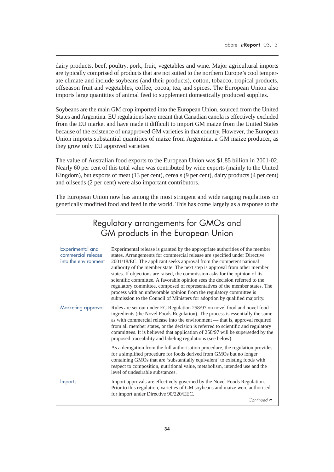dairy products, beef, poultry, pork, fruit, vegetables and wine. Major agricultural imports are typically comprised of products that are not suited to the northern Europe's cool temperate climate and include soybeans (and their products), cotton, tobacco, tropical products, offseason fruit and vegetables, coffee, cocoa, tea, and spices. The European Union also imports large quantities of animal feed to supplement domestically produced supplies.

Soybeans are the main GM crop imported into the European Union, sourced from the United States and Argentina. EU regulations have meant that Canadian canola is effectively excluded from the EU market and have made it difficult to import GM maize from the United States because of the existence of unapproved GM varieties in that country. However, the European Union imports substantial quantities of maize from Argentina, a GM maize producer, as they grow only EU approved varieties.

The value of Australian food exports to the European Union was \$1.85 billion in 2001-02. Nearly 60 per cent of this total value was contributed by wine exports (mainly to the United Kingdom), but exports of meat (13 per cent), cereals (9 per cent), dairy products (4 per cent) and oilseeds (2 per cent) were also important contributors.

The European Union now has among the most stringent and wide ranging regulations on genetically modified food and feed in the world. This has come largely as a response to the

|                                                                | Regulatory arrangements for GMOs and<br>GM products in the European Union                                                                                                                                                                                                                                                                                                                                                                                                                                                                                                                                                                                                                                           |  |  |  |  |  |
|----------------------------------------------------------------|---------------------------------------------------------------------------------------------------------------------------------------------------------------------------------------------------------------------------------------------------------------------------------------------------------------------------------------------------------------------------------------------------------------------------------------------------------------------------------------------------------------------------------------------------------------------------------------------------------------------------------------------------------------------------------------------------------------------|--|--|--|--|--|
| Experimental and<br>commercial release<br>into the environment | Experimental release is granted by the appropriate authorities of the member<br>states. Arrangements for commercial release are specified under Directive<br>2001/18/EC. The applicant seeks approval from the competent national<br>authority of the member state. The next step is approval from other member<br>states. If objections are raised, the commission asks for the opinion of its<br>scientific committee. A favorable opinion sees the decision referred to the<br>regulatory committee, composed of representatives of the member states. The<br>process with an unfavorable opinion from the regulatory committee is<br>submission to the Council of Ministers for adoption by qualified majority. |  |  |  |  |  |
| Marketing approval                                             | Rules are set out under EC Regulation 258/97 on novel food and novel food<br>ingredients (the Novel Foods Regulation). The process is essentially the same<br>as with commercial release into the environment — that is, approval required<br>from all member states, or the decision is referred to scientific and regulatory<br>committees. It is believed that application of 258/97 will be superseded by the<br>proposed traceability and labeling regulations (see below).                                                                                                                                                                                                                                    |  |  |  |  |  |
|                                                                | As a derogation from the full authorisation procedure, the regulation provides<br>for a simplified procedure for foods derived from GMOs but no longer<br>containing GMOs that are 'substantially equivalent' to existing foods with<br>respect to composition, nutritional value, metabolism, intended use and the<br>level of undesirable substances.                                                                                                                                                                                                                                                                                                                                                             |  |  |  |  |  |
| Imports                                                        | Import approvals are effectively governed by the Novel Foods Regulation.<br>Prior to this regulation, varieties of GM soybeans and maize were authorised<br>for import under Directive 90/220/EEC.<br>Continued $\phi$                                                                                                                                                                                                                                                                                                                                                                                                                                                                                              |  |  |  |  |  |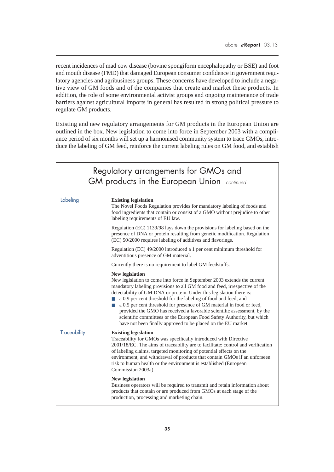recent incidences of mad cow disease (bovine spongiform encephalopathy or BSE) and foot and mouth disease (FMD) that damaged European consumer confidence in government regulatory agencies and agribusiness groups. These concerns have developed to include a negative view of GM foods and of the companies that create and market these products. In addition, the role of some environmental activist groups and ongoing maintenance of trade barriers against agricultural imports in general has resulted in strong political pressure to regulate GM products.

Existing and new regulatory arrangements for GM products in the European Union are outlined in the box. New legislation to come into force in September 2003 with a compliance period of six months will set up a harmonised community system to trace GMOs, introduce the labeling of GM feed, reinforce the current labeling rules on GM food, and establish

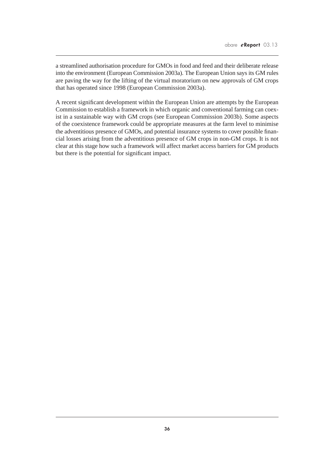a streamlined authorisation procedure for GMOs in food and feed and their deliberate release into the environment (European Commission 2003a). The European Union says its GM rules are paving the way for the lifting of the virtual moratorium on new approvals of GM crops that has operated since 1998 (European Commission 2003a).

A recent significant development within the European Union are attempts by the European Commission to establish a framework in which organic and conventional farming can coexist in a sustainable way with GM crops (see European Commission 2003b). Some aspects of the coexistence framework could be appropriate measures at the farm level to minimise the adventitious presence of GMOs, and potential insurance systems to cover possible financial losses arising from the adventitious presence of GM crops in non-GM crops. It is not clear at this stage how such a framework will affect market access barriers for GM products but there is the potential for significant impact.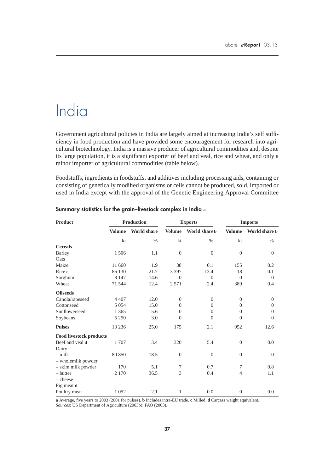# India

Government agricultural policies in India are largely aimed at increasing India's self sufficiency in food production and have provided some encouragement for research into agricultural biotechnology. India is a massive producer of agricultural commodities and, despite its large population, it is a significant exporter of beef and veal, rice and wheat, and only a minor importer of agricultural commodities (table below).

Foodstuffs, ingredients in foodstuffs, and additives including processing aids, containing or consisting of genetically modified organisms or cells cannot be produced, sold, imported or used in India except with the approval of the Genetic Engineering Approval Committee

| <b>Product</b>                 | <b>Production</b> |                    | <b>Exports</b> |               | <b>Imports</b>   |               |
|--------------------------------|-------------------|--------------------|----------------|---------------|------------------|---------------|
|                                | <b>Volume</b>     | <b>World share</b> | <b>Volume</b>  | World share b | <b>Volume</b>    | World share b |
|                                | kt                | $\%$               | kt             | %             | kt               | $\%$          |
| <b>Cereals</b>                 |                   |                    |                |               |                  |               |
| <b>Barley</b>                  | 1 506             | 1.1                | $\Omega$       | $\theta$      | $\overline{0}$   | $\Omega$      |
| Oats                           |                   |                    |                |               |                  |               |
| Maize                          | 11 660            | 1.9                | 38             | 0.1           | 155              | 0.2           |
| Rice c                         | 86 130            | 21.7               | 3 3 9 7        | 13.4          | 18               | 0.1           |
| Sorghum                        | 8 1 4 7           | 14.6               | $\Omega$       | $\Omega$      | $\Omega$         | $\Omega$      |
| Wheat                          | 71 544            | 12.4               | 2 5 7 1        | 2.4           | 389              | 0.4           |
| <b>Oilseeds</b>                |                   |                    |                |               |                  |               |
| Canola/rapeseed                | 4 4 0 7           | 12.0               | $\theta$       | $\theta$      | $\theta$         | $\theta$      |
| Cottonseed                     | 5 0 5 4           | 15.0               | $\Omega$       | $\Omega$      | $\theta$         | $\Omega$      |
| Sunflowerseed                  | 1 3 6 5           | 5.6                | $\overline{0}$ | $\theta$      | $\overline{0}$   | $\theta$      |
| Soybeans                       | 5 2 5 0           | 3.0                | $\Omega$       | $\Omega$      | $\Omega$         | $\Omega$      |
| <b>Pulses</b>                  | 13 2 36           | 25.0               | 175            | 2.1           | 952              | 12.6          |
| <b>Food livestock products</b> |                   |                    |                |               |                  |               |
| Beef and yeal d                | 1707              | 3.4                | 320            | 5.4           | $\boldsymbol{0}$ | 0.0           |
| Dairy                          |                   |                    |                |               |                  |               |
| $-$ milk                       | 80 850            | 18.5               | $\overline{0}$ | $\theta$      | $\overline{0}$   | $\Omega$      |
| - wholemilk powder             |                   |                    |                |               |                  |               |
| - skim milk powder             | 170               | 5.1                | 7              | 0.7           | 7                | 0.8           |
| – butter                       | 2 1 7 0           | 36.5               | 3              | 0.4           | $\overline{4}$   | 1.1           |
| $-\text{cheese}$               |                   |                    |                |               |                  |               |
| Pig meat d                     |                   |                    |                |               |                  |               |
| Poultry meat                   | 1 0 5 2           | 2.1                | 1              | 0.0           | $\boldsymbol{0}$ | 0.0           |

### **Summary statistics for the grain–livestock complex in India a**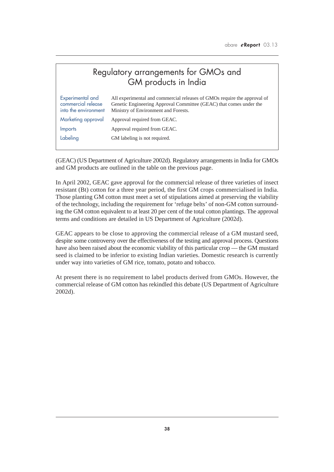## Regulatory arrangements for GMOs and GM products in India

| Experimental and<br>commercial release<br>into the environment | All experimental and commercial releases of GMOs require the approval of<br>Genetic Engineering Approval Committee (GEAC) that comes under the<br>Ministry of Environment and Forests. |
|----------------------------------------------------------------|----------------------------------------------------------------------------------------------------------------------------------------------------------------------------------------|
| Marketing approval                                             | Approval required from GEAC.                                                                                                                                                           |
| <i><u><b>Imports</b></u></i>                                   | Approval required from GEAC.                                                                                                                                                           |
| Labeling                                                       | GM labeling is not required.                                                                                                                                                           |
|                                                                |                                                                                                                                                                                        |

(GEAC) (US Department of Agriculture 2002d). Regulatory arrangements in India for GMOs and GM products are outlined in the table on the previous page.

In April 2002, GEAC gave approval for the commercial release of three varieties of insect resistant (Bt) cotton for a three year period, the first GM crops commercialised in India. Those planting GM cotton must meet a set of stipulations aimed at preserving the viability of the technology, including the requirement for 'refuge belts' of non-GM cotton surrounding the GM cotton equivalent to at least 20 per cent of the total cotton plantings. The approval terms and conditions are detailed in US Department of Agriculture (2002d).

GEAC appears to be close to approving the commercial release of a GM mustard seed, despite some controversy over the effectiveness of the testing and approval process. Questions have also been raised about the economic viability of this particular crop — the GM mustard seed is claimed to be inferior to existing Indian varieties. Domestic research is currently under way into varieties of GM rice, tomato, potato and tobacco.

At present there is no requirement to label products derived from GMOs. However, the commercial release of GM cotton has rekindled this debate (US Department of Agriculture 2002d).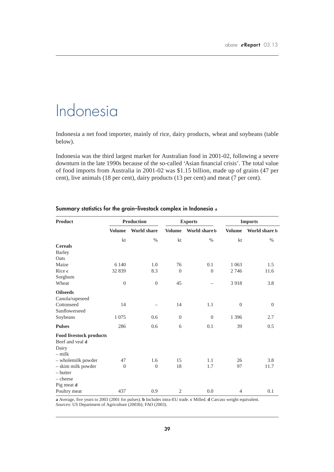## Indonesia

Indonesia a net food importer, mainly of rice, dairy products, wheat and soybeans (table below).

Indonesia was the third largest market for Australian food in 2001-02, following a severe downturn in the late 1990s because of the so-called 'Asian financial crisis'. The total value of food imports from Australia in 2001-02 was \$1.15 billion, made up of grains (47 per cent), live animals (18 per cent), dairy products (13 per cent) and meat (7 per cent).

| <b>Product</b>                 | <b>Production</b> |                    | <b>Exports</b> |               | <b>Imports</b>   |               |
|--------------------------------|-------------------|--------------------|----------------|---------------|------------------|---------------|
|                                | <b>Volume</b>     | <b>World share</b> | <b>Volume</b>  | World share b | <b>Volume</b>    | World share b |
|                                | kt                | $\%$               | kt             | $\%$          | kt               | $\%$          |
| <b>Cereals</b>                 |                   |                    |                |               |                  |               |
| <b>Barley</b>                  |                   |                    |                |               |                  |               |
| Oats                           |                   |                    |                |               |                  |               |
| Maize                          | 6 1 4 0           | 1.0                | 76             | 0.1           | 1 0 6 3          | 1.5           |
| Rice c                         | 32 839            | 8.3                | $\overline{0}$ | $\theta$      | 2 7 4 6          | 11.6          |
| Sorghum                        |                   |                    |                |               |                  |               |
| Wheat                          | $\boldsymbol{0}$  | $\overline{0}$     | 45             |               | 3918             | 3.8           |
| <b>Oilseeds</b>                |                   |                    |                |               |                  |               |
| Canola/rapeseed                |                   |                    |                |               |                  |               |
| Cottonseed                     | 14                |                    | 14             | 1.1           | $\boldsymbol{0}$ | $\theta$      |
| Sunflowerseed                  |                   |                    |                |               |                  |               |
| Soybeans                       | 1 0 7 5           | 0.6                | $\overline{0}$ | $\theta$      | 1 3 9 6          | 2.7           |
| <b>Pulses</b>                  | 286               | 0.6                | 6              | 0.1           | 39               | 0.5           |
| <b>Food livestock products</b> |                   |                    |                |               |                  |               |
| Beef and yeal d                |                   |                    |                |               |                  |               |
| Dairy                          |                   |                    |                |               |                  |               |
| $-$ milk                       |                   |                    |                |               |                  |               |
| - wholemilk powder             | 47                | 1.6                | 15             | 1.1           | 26               | 3.8           |
| - skim milk powder             | $\boldsymbol{0}$  | $\overline{0}$     | 18             | 1.7           | 97               | 11.7          |
| – butter                       |                   |                    |                |               |                  |               |
| $-\text{cheese}$               |                   |                    |                |               |                  |               |
| Pig meat d                     |                   |                    |                |               |                  |               |
| Poultry meat                   | 437               | 0.9                | $\mathfrak{2}$ | 0.0           | 4                | 0.1           |

### **Summary statistics for the grain–livestock complex in Indonesia a**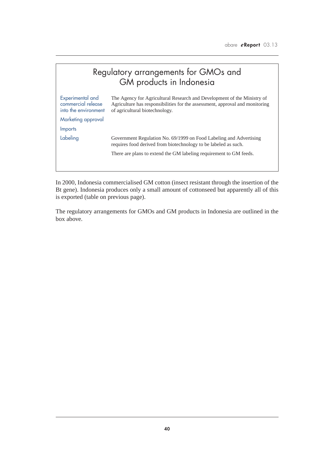|                                                                                      | Regulatory arrangements for GMOs and<br>GM products in Indonesia                                                                                                                          |
|--------------------------------------------------------------------------------------|-------------------------------------------------------------------------------------------------------------------------------------------------------------------------------------------|
| Experimental and<br>commercial release<br>into the environment<br>Marketing approval | The Agency for Agricultural Research and Development of the Ministry of<br>Agriculture has responsibilities for the assessment, approval and monitoring<br>of agricultural biotechnology. |
| Imports                                                                              |                                                                                                                                                                                           |
| Labeling                                                                             | Government Regulation No. 69/1999 on Food Labeling and Advertising<br>requires food derived from biotechnology to be labeled as such.                                                     |
|                                                                                      | There are plans to extend the GM labeling requirement to GM feeds.                                                                                                                        |
|                                                                                      |                                                                                                                                                                                           |

In 2000, Indonesia commercialised GM cotton (insect resistant through the insertion of the Bt gene). Indonesia produces only a small amount of cottonseed but apparently all of this is exported (table on previous page).

The regulatory arrangements for GMOs and GM products in Indonesia are outlined in the box above.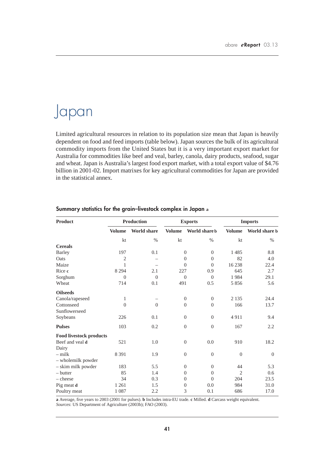## Japan

Limited agricultural resources in relation to its population size mean that Japan is heavily dependent on food and feed imports (table below). Japan sources the bulk of its agricultural commodity imports from the United States but it is a very important export market for Australia for commodities like beef and veal, barley, canola, dairy products, seafood, sugar and wheat. Japan is Australia's largest food export market, with a total export value of \$4.76 billion in 2001-02. Import matrixes for key agricultural commodities for Japan are provided in the statistical annex.

| <b>Product</b>                 | <b>Production</b> |                    | <b>Exports</b> |                | <b>Imports</b> |               |
|--------------------------------|-------------------|--------------------|----------------|----------------|----------------|---------------|
|                                | <b>Volume</b>     | <b>World share</b> | <b>Volume</b>  | World share b  | <b>Volume</b>  | World share b |
|                                | kt                | $\%$               | kt             | $\%$           | kt             | $\%$          |
| <b>Cereals</b>                 |                   |                    |                |                |                |               |
| <b>Barley</b>                  | 197               | 0.1                | $\theta$       | $\overline{0}$ | 1485           | 8.8           |
| Oats                           | $\overline{2}$    |                    | $\theta$       | $\overline{0}$ | 82             | 4.0           |
| Maize                          | 1                 |                    | $\Omega$       | $\overline{0}$ | 16238          | 22.4          |
| Rice c                         | 8 2 9 4           | 2.1                | 227            | 0.9            | 645            | 2.7           |
| Sorghum                        | $\theta$          | $\Omega$           | $\Omega$       | $\theta$       | 1984           | 29.1          |
| Wheat                          | 714               | 0.1                | 491            | 0.5            | 5856           | 5.6           |
| <b>Oilseeds</b>                |                   |                    |                |                |                |               |
| Canola/rapeseed                | $\mathbf{1}$      |                    | $\overline{0}$ | $\theta$       | 2 1 3 5        | 24.4          |
| Cottonseed                     | $\theta$          | $\theta$           | $\Omega$       | $\overline{0}$ | 166            | 13.7          |
| Sunflowerseed                  |                   |                    |                |                |                |               |
| Soybeans                       | 226               | 0.1                | $\theta$       | $\overline{0}$ | 4911           | 9.4           |
| <b>Pulses</b>                  | 103               | 0.2                | $\theta$       | $\overline{0}$ | 167            | 2.2           |
| <b>Food livestock products</b> |                   |                    |                |                |                |               |
| Beef and yeal d                | 521               | 1.0                | $\theta$       | 0.0            | 910            | 18.2          |
| Dairy                          |                   |                    |                |                |                |               |
| $-$ milk                       | 8 3 9 1           | 1.9                | $\theta$       | $\mathbf{0}$   | $\overline{0}$ | $\theta$      |
| - wholemilk powder             |                   |                    |                |                |                |               |
| - skim milk powder             | 183               | 5.5                | $\overline{0}$ | $\overline{0}$ | 44             | 5.3           |
| - butter                       | 85                | 1.4                | $\theta$       | $\overline{0}$ | $\overline{2}$ | 0.6           |
| $-\text{cheese}$               | 34                | 0.3                | $\Omega$       | $\overline{0}$ | 204            | 23.5          |
| Pig meat d                     | 1 2 6 1           | 1.5                | $\overline{0}$ | 0.0            | 984            | 31.0          |
| Poultry meat                   | 1 0 8 7           | 2.2                | 3              | 0.1            | 686            | 17.0          |

### **Summary statistics for the grain–livestock complex in Japan a**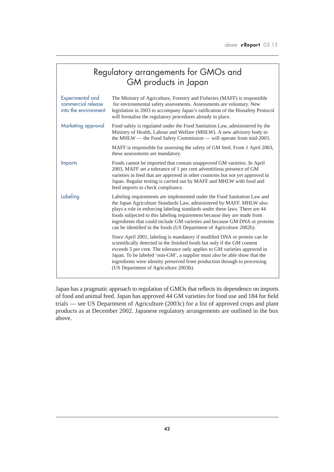|                                                                | Regulatory arrangements for GMOs and<br>GM products in Japan                                                                                                                                                                                                                                                                                                                                                                                                    |  |  |  |  |  |
|----------------------------------------------------------------|-----------------------------------------------------------------------------------------------------------------------------------------------------------------------------------------------------------------------------------------------------------------------------------------------------------------------------------------------------------------------------------------------------------------------------------------------------------------|--|--|--|--|--|
| Experimental and<br>commercial release<br>into the environment | The Ministry of Agriculture, Forestry and Fisheries (MAFF) is responsible<br>for environmental safety assessments. Assessments are voluntary. New<br>legislation in 2003 to accompany Japan's ratification of the Biosafety Protocol<br>will formalise the regulatory procedures already in place.                                                                                                                                                              |  |  |  |  |  |
| Marketing approval                                             | Food safety is regulated under the Food Sanitation Law, administered by the<br>Ministry of Health, Labour and Welfare (MHLW). A new advisory body to<br>the MHLW — the Food Safety Commission — will operate from mid-2003.                                                                                                                                                                                                                                     |  |  |  |  |  |
|                                                                | MAFF is responsible for assessing the safety of GM feed. From 1 April 2003,<br>these assessments are mandatory.                                                                                                                                                                                                                                                                                                                                                 |  |  |  |  |  |
| <b>Imports</b>                                                 | Foods cannot be imported that contain unapproved GM varieties. In April<br>2003, MAFF set a tolerance of 1 per cent adventitious presence of GM<br>varieties in feed that are approved in other countries but not yet approved in<br>Japan. Regular testing is carried out by MAFF and MHLW with food and<br>feed imports to check compliance.                                                                                                                  |  |  |  |  |  |
| Labeling                                                       | Labeling requirements are implemented under the Food Sanitation Law and<br>the Japan Agriculture Standards Law, administered by MAFF. MHLW also<br>plays a role in enforcing labeling standards under these laws. There are 44<br>foods subjected to this labeling requirement because they are made from<br>ingredients that could include GM varieties and because GM DNA or proteins<br>can be identified in the foods (US Department of Agriculture 2002b). |  |  |  |  |  |
|                                                                | Since April 2001, labeling is mandatory if modified DNA or protein can be<br>scientifically detected in the finished foods but only if the GM content<br>exceeds 5 per cent. The tolerance only applies to GM varieties approved in<br>Japan. To be labeled 'non-GM', a supplier must also be able show that the<br>ingredients were identity preserved from production through to processing<br>(US Department of Agriculture 2003b).                          |  |  |  |  |  |

Japan has a pragmatic approach to regulation of GMOs that reflects its dependence on imports of food and animal feed. Japan has approved 44 GM varieties for food use and 184 for field trials — see US Department of Agriculture (2003c) for a list of approved crops and plant products as at December 2002. Japanese regulatory arrangements are outlined in the box above.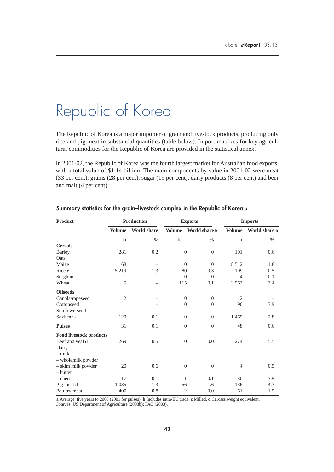# Republic of Korea

The Republic of Korea is a major importer of grain and livestock products, producing only rice and pig meat in substantial quantities (table below). Import matrixes for key agricultural commodities for the Republic of Korea are provided in the statistical annex.

In 2001-02, the Republic of Korea was the fourth largest market for Australian food exports, with a total value of \$1.14 billion. The main components by value in 2001-02 were meat (33 per cent), grains (28 per cent), sugar (19 per cent), dairy products (8 per cent) and beer and malt (4 per cent).

| <b>Product</b>                 |                | Production         |                | <b>Exports</b> | <b>Imports</b> |               |
|--------------------------------|----------------|--------------------|----------------|----------------|----------------|---------------|
|                                | <b>Volume</b>  | <b>World share</b> | <b>Volume</b>  | World share b  | <b>Volume</b>  | World share b |
|                                | kt             | $\%$               | kt             | $\%$           | kt             | $\%$          |
| <b>Cereals</b>                 |                |                    |                |                |                |               |
| <b>Barley</b>                  | 281            | 0.2                | $\theta$       | $\theta$       | 101            | 0.6           |
| Oats                           |                |                    |                |                |                |               |
| Maize                          | 68             |                    | $\overline{0}$ | $\theta$       | 8512           | 11.8          |
| Rice c                         | 5 2 1 9        | 1.3                | 80             | 0.3            | 109            | 0.5           |
| Sorghum                        | $\mathbf{1}$   |                    | $\Omega$       | $\theta$       | $\overline{4}$ | 0.1           |
| Wheat                          | 5              |                    | 115            | 0.1            | 3 5 6 3        | 3.4           |
| <b>Oilseeds</b>                |                |                    |                |                |                |               |
| Canola/rapeseed                | $\mathfrak{2}$ |                    | $\overline{0}$ | $\mathbf{0}$   | $\overline{2}$ |               |
| Cottonseed                     | 1              |                    | $\Omega$       | $\theta$       | 96             | 7.9           |
| Sunflowerseed                  |                |                    |                |                |                |               |
| Soybeans                       | 120            | 0.1                | $\overline{0}$ | $\theta$       | 1469           | 2.8           |
| <b>Pulses</b>                  | 31             | 0.1                | $\theta$       | $\mathbf{0}$   | 48             | 0.6           |
| <b>Food livestock products</b> |                |                    |                |                |                |               |
| Beef and yeal d                | 269            | 0.5                | $\theta$       | 0.0            | 274            | 5.5           |
| Dairy                          |                |                    |                |                |                |               |
| $-$ milk                       |                |                    |                |                |                |               |
| - wholemilk powder             |                |                    |                |                |                |               |
| - skim milk powder             | 20             | 0.6                | $\mathbf{0}$   | $\mathbf{0}$   | 4              | 0.5           |
| $-$ butter                     |                |                    |                |                |                |               |
| $-\text{cheese}$               | 17             | 0.1                | 1              | 0.1            | 30             | 3.5           |
| Pig meat d                     | 1 0 3 5        | 1.3                | 56             | 1.6            | 136            | 4.3           |
| Poultry meat                   | 400            | 0.8                | $\overline{2}$ | 0.0            | 61             | 1.5           |

### **Summary statistics for the grain–livestock complex in the Republic of Korea a**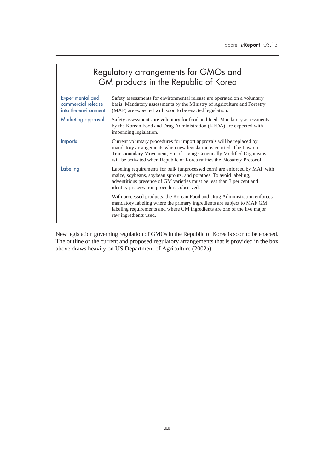| Regulatory arrangements for GMOs and<br>GM products in the Republic of Korea |                                                                                                                                                                                                                                                                                                 |  |  |  |  |  |
|------------------------------------------------------------------------------|-------------------------------------------------------------------------------------------------------------------------------------------------------------------------------------------------------------------------------------------------------------------------------------------------|--|--|--|--|--|
| Experimental and<br>commercial release<br>into the environment               | Safety assessments for environmental release are operated on a voluntary<br>basis. Mandatory assessments by the Ministry of Agriculture and Forestry<br>(MAF) are expected with soon to be enacted legislation.                                                                                 |  |  |  |  |  |
| Marketing approval                                                           | Safety assessments are voluntary for food and feed. Mandatory assessments<br>by the Korean Food and Drug Administration (KFDA) are expected with<br>impending legislation.                                                                                                                      |  |  |  |  |  |
| <b>Imports</b>                                                               | Current voluntary procedures for import approvals will be replaced by<br>mandatory arrangements when new legislation is enacted. The Law on<br>Transboundary Movement, Etc of Living Genetically Modified Organisms<br>will be activated when Republic of Korea ratifies the Biosafety Protocol |  |  |  |  |  |
| Labeling                                                                     | Labeling requirements for bulk (unprocessed corn) are enforced by MAF with<br>maize, soybeans, soybean sprouts, and potatoes. To avoid labeling,<br>adventitious presence of GM varieties must be less than 3 per cent and<br>identity preservation procedures observed.                        |  |  |  |  |  |
|                                                                              | With processed products, the Korean Food and Drug Administration enforces<br>mandatory labeling where the primary ingredients are subject to MAF GM<br>labeling requirements and where GM ingredients are one of the five major<br>raw ingredients used.                                        |  |  |  |  |  |

New legislation governing regulation of GMOs in the Republic of Korea is soon to be enacted. The outline of the current and proposed regulatory arrangements that is provided in the box above draws heavily on US Department of Agriculture (2002a).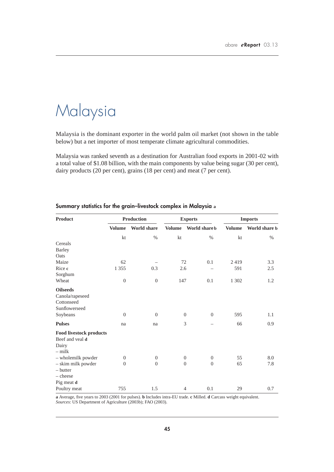# Malaysia

Malaysia is the dominant exporter in the world palm oil market (not shown in the table below) but a net importer of most temperate climate agricultural commodities.

Malaysia was ranked seventh as a destination for Australian food exports in 2001-02 with a total value of \$1.08 billion, with the main components by value being sugar (30 per cent), dairy products (20 per cent), grains (18 per cent) and meat (7 per cent).

| Product                        |                  | <b>Production</b>  |               | <b>Exports</b>                     | <b>Imports</b> |               |
|--------------------------------|------------------|--------------------|---------------|------------------------------------|----------------|---------------|
|                                | <b>Volume</b>    | <b>World share</b> | <b>Volume</b> | World share b                      | <b>Volume</b>  | World share b |
|                                | kt               | $\%$               | kt            | $\%$                               | kt             | $\%$          |
| Cereals                        |                  |                    |               |                                    |                |               |
| <b>Barley</b>                  |                  |                    |               |                                    |                |               |
| Oats                           |                  |                    |               |                                    |                |               |
| Maize                          | 62               |                    | 72            | 0.1                                | 2419           | 3.3           |
| Rice c                         | 1 3 5 5          | 0.3                | 2.6           |                                    | 591            | 2.5           |
| Sorghum                        |                  |                    |               |                                    |                |               |
| Wheat                          | $\boldsymbol{0}$ | $\mathbf{0}$       | 147           | 0.1                                | 1 302          | 1.2           |
| <b>Oilseeds</b>                |                  |                    |               |                                    |                |               |
| Canola/rapeseed                |                  |                    |               |                                    |                |               |
| Cottonseed                     |                  |                    |               |                                    |                |               |
| Sunflowerseed                  |                  |                    |               |                                    |                |               |
| Soybeans                       | $\overline{0}$   | $\theta$           |               | $\theta$<br>$\overline{0}$         | 595            | 1.1           |
| <b>Pulses</b>                  | na               | na                 |               | 3                                  | 66             | 0.9           |
| <b>Food livestock products</b> |                  |                    |               |                                    |                |               |
| Beef and veal d                |                  |                    |               |                                    |                |               |
| Dairy                          |                  |                    |               |                                    |                |               |
| $-$ milk                       |                  |                    |               |                                    |                |               |
| - wholemilk powder             | $\theta$         | $\theta$           |               | $\theta$<br>$\theta$               | 55             | 8.0           |
| - skim milk powder             | $\overline{0}$   | $\mathbf{0}$       |               | $\overline{0}$<br>$\boldsymbol{0}$ | 65             | 7.8           |
| - butter                       |                  |                    |               |                                    |                |               |
| - cheese                       |                  |                    |               |                                    |                |               |
| Pig meat d                     |                  |                    |               |                                    |                |               |
| Poultry meat                   | 755              | 1.5                |               | 0.1<br>$\overline{4}$              | 29             | 0.7           |

### **Summary statistics for the grain–livestock complex in Malaysia a**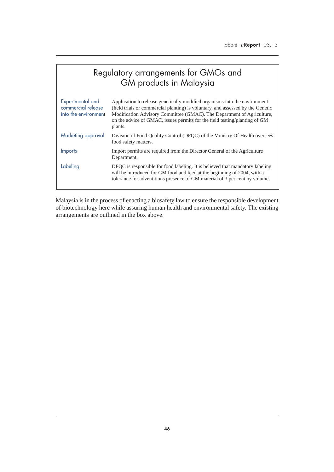| Regulatory arrangements for GMOs and<br>GM products in Malaysia |                                                                                                                                                                                                                                                                                                                                  |  |  |  |  |
|-----------------------------------------------------------------|----------------------------------------------------------------------------------------------------------------------------------------------------------------------------------------------------------------------------------------------------------------------------------------------------------------------------------|--|--|--|--|
| Experimental and<br>commercial release<br>into the environment  | Application to release genetically modified organisms into the environment<br>(field trials or commercial planting) is voluntary, and assessed by the Genetic<br>Modification Advisory Committee (GMAC). The Department of Agriculture,<br>on the advice of GMAC, issues permits for the field testing/planting of GM<br>plants. |  |  |  |  |
| Marketing approval                                              | Division of Food Quality Control (DFQC) of the Ministry Of Health oversees<br>food safety matters.                                                                                                                                                                                                                               |  |  |  |  |
| <b>Imports</b>                                                  | Import permits are required from the Director General of the Agriculture<br>Department.                                                                                                                                                                                                                                          |  |  |  |  |
| Labeling                                                        | DFQC is responsible for food labeling. It is believed that mandatory labeling<br>will be introduced for GM food and feed at the beginning of 2004, with a<br>tolerance for adventitious presence of GM material of 3 per cent by volume.                                                                                         |  |  |  |  |

Malaysia is in the process of enacting a biosafety law to ensure the responsible development of biotechnology here while assuring human health and environmental safety. The existing arrangements are outlined in the box above.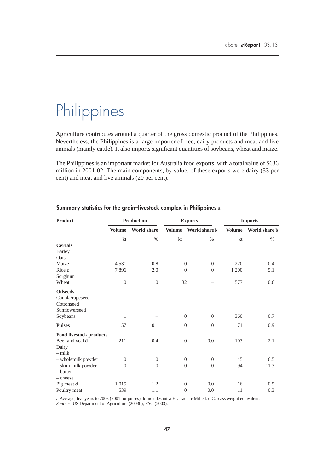# Philippines

Agriculture contributes around a quarter of the gross domestic product of the Philippines. Nevertheless, the Philippines is a large importer of rice, dairy products and meat and live animals (mainly cattle). It also imports significant quantities of soybeans, wheat and maize.

The Philippines is an important market for Australia food exports, with a total value of \$636 million in 2001-02. The main components, by value, of these exports were dairy (53 per cent) and meat and live animals (20 per cent).

| Product                        |               | <b>Production</b>  |               | <b>Exports</b>                   |               | <b>Imports</b> |  |
|--------------------------------|---------------|--------------------|---------------|----------------------------------|---------------|----------------|--|
|                                | <b>Volume</b> | <b>World share</b> | <b>Volume</b> | World share b                    | <b>Volume</b> | World share b  |  |
|                                | kt            | $\%$               | kt            | $\%$                             | kt            | $\%$           |  |
| <b>Cereals</b>                 |               |                    |               |                                  |               |                |  |
| <b>Barley</b>                  |               |                    |               |                                  |               |                |  |
| Oats                           |               |                    |               |                                  |               |                |  |
| Maize                          | 4531          | 0.8                |               | $\overline{0}$<br>$\overline{0}$ | 270           | 0.4            |  |
| Rice c                         | 7896          | 2.0                |               | $\overline{0}$<br>$\Omega$       | 1 200         | 5.1            |  |
| Sorghum                        |               |                    |               |                                  |               |                |  |
| Wheat                          | $\mathbf{0}$  | $\boldsymbol{0}$   | 32            |                                  | 577           | 0.6            |  |
| <b>Oilseeds</b>                |               |                    |               |                                  |               |                |  |
| Canola/rapeseed                |               |                    |               |                                  |               |                |  |
| Cottonseed                     |               |                    |               |                                  |               |                |  |
| Sunflowerseed                  |               |                    |               |                                  |               |                |  |
| Soybeans                       | 1             |                    |               | $\theta$<br>$\overline{0}$       | 360           | 0.7            |  |
| <b>Pulses</b>                  | 57            | 0.1                |               | $\theta$<br>$\overline{0}$       | 71            | 0.9            |  |
| <b>Food livestock products</b> |               |                    |               |                                  |               |                |  |
| Beef and yeal d                | 211           | 0.4                |               | 0.0<br>$\theta$                  | 103           | 2.1            |  |
| Dairy                          |               |                    |               |                                  |               |                |  |
| $-$ milk                       |               |                    |               |                                  |               |                |  |
| - wholemilk powder             | $\theta$      | $\theta$           |               | $\mathbf{0}$<br>$\boldsymbol{0}$ | 45            | 6.5            |  |
| - skim milk powder             | $\mathbf{0}$  | $\boldsymbol{0}$   |               | $\theta$<br>$\overline{0}$       | 94            | 11.3           |  |
| $-$ butter                     |               |                    |               |                                  |               |                |  |
| $-\text{cheese}$               |               |                    |               |                                  |               |                |  |
| Pig meat d                     | 1015          | 1.2                |               | 0.0<br>$\theta$                  | 16            | 0.5            |  |
| Poultry meat                   | 539           | 1.1                |               | $\theta$<br>0.0                  | 11            | 0.3            |  |

### **Summary statistics for the grain–livestock complex in Philippines a**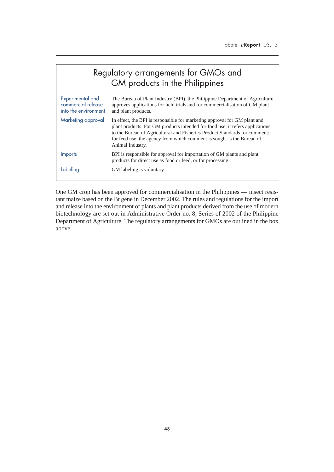| Regulatory arrangements for GMOs and<br>GM products in the Philippines |                                                                                                                                                                                                                                                                                                                                        |  |  |  |  |  |
|------------------------------------------------------------------------|----------------------------------------------------------------------------------------------------------------------------------------------------------------------------------------------------------------------------------------------------------------------------------------------------------------------------------------|--|--|--|--|--|
| Experimental and<br>commercial release<br>into the environment         | The Bureau of Plant Industry (BPI), the Philippine Department of Agriculture<br>approves applications for field trials and for commercialisation of GM plant<br>and plant products.                                                                                                                                                    |  |  |  |  |  |
| Marketing approval                                                     | In effect, the BPI is responsible for marketing approval for GM plant and<br>plant products. For GM products intended for food use, it refers applications<br>to the Bureau of Agricultural and Fisheries Product Standards for comment;<br>for feed use, the agency from which comment is sought is the Bureau of<br>Animal Industry. |  |  |  |  |  |
| <b>Imports</b>                                                         | BPI is responsible for approval for importation of GM plants and plant<br>products for direct use as food or feed, or for processing.                                                                                                                                                                                                  |  |  |  |  |  |
| Labeling                                                               | GM labeling is voluntary.                                                                                                                                                                                                                                                                                                              |  |  |  |  |  |

One GM crop has been approved for commercialisation in the Philippines — insect resistant maize based on the Bt gene in December 2002. The rules and regulations for the import and release into the environment of plants and plant products derived from the use of modern biotechnology are set out in Administrative Order no. 8, Series of 2002 of the Philippine Department of Agriculture. The regulatory arrangements for GMOs are outlined in the box above.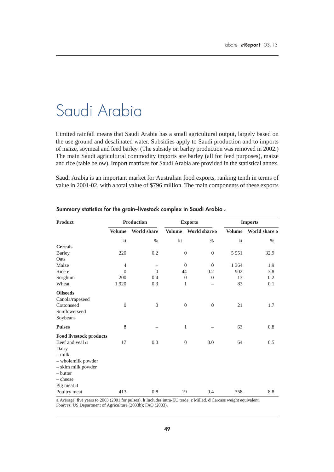## Saudi Arabia

Limited rainfall means that Saudi Arabia has a small agricultural output, largely based on the use ground and desalinated water. Subsidies apply to Saudi production and to imports of maize, soymeal and feed barley. (The subsidy on barley production was removed in 2002.) The main Saudi agricultural commodity imports are barley (all for feed purposes), maize and rice (table below). Import matrixes for Saudi Arabia are provided in the statistical annex.

Saudi Arabia is an important market for Australian food exports, ranking tenth in terms of value in 2001-02, with a total value of \$796 million. The main components of these exports

| Product                        |                  | <b>Production</b>  |               | <b>Exports</b>                     | <b>Imports</b> |               |
|--------------------------------|------------------|--------------------|---------------|------------------------------------|----------------|---------------|
|                                | <b>Volume</b>    | <b>World share</b> | <b>Volume</b> | World share b                      | <b>Volume</b>  | World share b |
|                                | kt               | $\%$               | kt            | $\%$                               | kt             | $\%$          |
| <b>Cereals</b>                 |                  |                    |               |                                    |                |               |
| <b>Barley</b>                  | 220              | 0.2                |               | $\theta$<br>$\mathbf{0}$           | 5 5 5 1        | 32.9          |
| Oats                           |                  |                    |               |                                    |                |               |
| Maize                          | $\overline{4}$   |                    |               | $\boldsymbol{0}$<br>$\overline{0}$ | 1 3 6 4        | 1.9           |
| Rice c                         | $\mathbf{0}$     | $\theta$           | 44            | 0.2                                | 902            | 3.8           |
| Sorghum                        | 200              | 0.4                |               | $\overline{0}$<br>$\theta$         | 13             | 0.2           |
| Wheat                          | 1920             | 0.3                |               | 1                                  | 83             | 0.1           |
| <b>Oilseeds</b>                |                  |                    |               |                                    |                |               |
| Canola/rapeseed                |                  |                    |               |                                    |                |               |
| Cottonseed                     | $\boldsymbol{0}$ | $\overline{0}$     |               | $\mathbf{0}$<br>$\mathbf{0}$       | 21             | 1.7           |
| Sunflowerseed                  |                  |                    |               |                                    |                |               |
| Soybeans                       |                  |                    |               |                                    |                |               |
| <b>Pulses</b>                  | 8                |                    |               | $\mathbf{1}$                       | 63             | 0.8           |
| <b>Food livestock products</b> |                  |                    |               |                                    |                |               |
| Beef and yeal d                | 17               | 0.0                |               | $\theta$<br>0.0                    | 64             | 0.5           |
| Dairy                          |                  |                    |               |                                    |                |               |
| $-$ milk                       |                  |                    |               |                                    |                |               |
| - wholemilk powder             |                  |                    |               |                                    |                |               |
| - skim milk powder             |                  |                    |               |                                    |                |               |
| $-$ butter                     |                  |                    |               |                                    |                |               |
| - cheese                       |                  |                    |               |                                    |                |               |
| Pig meat d                     |                  |                    |               |                                    |                |               |
| Poultry meat                   | 413              | 0.8                | 19            | 0.4                                | 358            | 8.8           |

### **Summary statistics for the grain–livestock complex in Saudi Arabia a**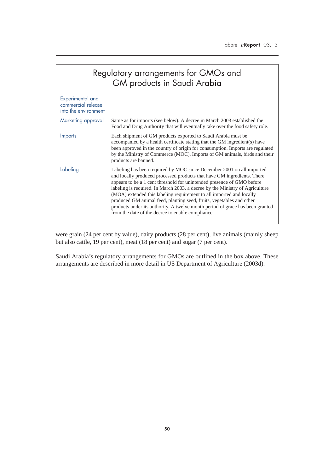| Regulatory arrangements for GMOs and<br>GM products in Saudi Arabia |                                                                                                                                                                                                                                                                                                                                                                                                                                                                                                                                                                                                  |  |  |  |  |  |
|---------------------------------------------------------------------|--------------------------------------------------------------------------------------------------------------------------------------------------------------------------------------------------------------------------------------------------------------------------------------------------------------------------------------------------------------------------------------------------------------------------------------------------------------------------------------------------------------------------------------------------------------------------------------------------|--|--|--|--|--|
| Experimental and<br>commercial release<br>into the environment      |                                                                                                                                                                                                                                                                                                                                                                                                                                                                                                                                                                                                  |  |  |  |  |  |
| Marketing approval                                                  | Same as for imports (see below). A decree in March 2003 established the<br>Food and Drug Authority that will eventually take over the food safety role.                                                                                                                                                                                                                                                                                                                                                                                                                                          |  |  |  |  |  |
| Imports                                                             | Each shipment of GM products exported to Saudi Arabia must be<br>accompanied by a health certificate stating that the GM ingredient(s) have<br>been approved in the country of origin for consumption. Imports are regulated<br>by the Ministry of Commerce (MOC). Imports of GM animals, birds and their<br>products are banned.                                                                                                                                                                                                                                                                |  |  |  |  |  |
| Labeling                                                            | Labeling has been required by MOC since December 2001 on all imported<br>and locally produced processed products that have GM ingredients. There<br>appears to be a 1 cent threshold for unintended presence of GMO before<br>labeling is required. In March 2003, a decree by the Ministry of Agriculture<br>(MOA) extended this labeling requirement to all imported and locally<br>produced GM animal feed, planting seed, fruits, vegetables and other<br>products under its authority. A twelve month period of grace has been granted<br>from the date of the decree to enable compliance. |  |  |  |  |  |

were grain (24 per cent by value), dairy products (28 per cent), live animals (mainly sheep but also cattle, 19 per cent), meat (18 per cent) and sugar (7 per cent).

Saudi Arabia's regulatory arrangements for GMOs are outlined in the box above. These arrangements are described in more detail in US Department of Agriculture (2003d).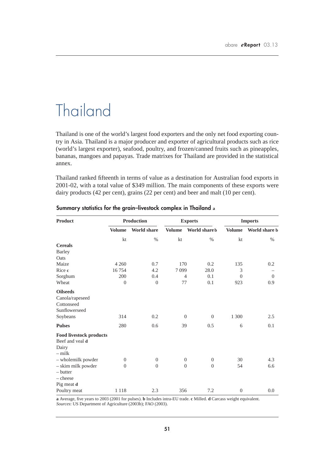# Thailand

Thailand is one of the world's largest food exporters and the only net food exporting country in Asia. Thailand is a major producer and exporter of agricultural products such as rice (world's largest exporter), seafood, poultry, and frozen/canned fruits such as pineapples, bananas, mangoes and papayas. Trade matrixes for Thailand are provided in the statistical annex.

Thailand ranked fifteenth in terms of value as a destination for Australian food exports in 2001-02, with a total value of \$349 million. The main components of these exports were dairy products (42 per cent), grains (22 per cent) and beer and malt (10 per cent).

| <b>Product</b>                 |                | <b>Production</b>  | <b>Exports</b>   |                            | <b>Imports</b>   |               |
|--------------------------------|----------------|--------------------|------------------|----------------------------|------------------|---------------|
|                                | <b>Volume</b>  | <b>World share</b> | <b>Volume</b>    | World share b              | <b>Volume</b>    | World share b |
|                                | kt             | $\%$               | kt               | $\%$                       | kt               | $\%$          |
| <b>Cereals</b>                 |                |                    |                  |                            |                  |               |
| <b>Barley</b>                  |                |                    |                  |                            |                  |               |
| Oats                           |                |                    |                  |                            |                  |               |
| Maize                          | 4 2 6 0        | 0.7                | 170              | 0.2                        | 135              | 0.2           |
| Rice c                         | 16754          | 4.2                | 7099             | 28.0                       | 3                |               |
| Sorghum                        | 200            | 0.4                |                  | $\overline{4}$<br>0.1      | $\overline{0}$   | $\Omega$      |
| Wheat                          | $\mathbf{0}$   | $\boldsymbol{0}$   | 77               | 0.1                        | 923              | 0.9           |
| <b>Oilseeds</b>                |                |                    |                  |                            |                  |               |
| Canola/rapeseed                |                |                    |                  |                            |                  |               |
| Cottonseed                     |                |                    |                  |                            |                  |               |
| Sunflowerseed                  |                |                    |                  |                            |                  |               |
| Soybeans                       | 314            | 0.2                | $\theta$         | $\overline{0}$             | 1 300            | 2.5           |
| <b>Pulses</b>                  | 280            | 0.6                | 39               | 0.5                        | 6                | 0.1           |
| <b>Food livestock products</b> |                |                    |                  |                            |                  |               |
| Beef and yeal d                |                |                    |                  |                            |                  |               |
| Dairy                          |                |                    |                  |                            |                  |               |
| $-$ milk                       |                |                    |                  |                            |                  |               |
| - wholemilk powder             | $\theta$       | $\boldsymbol{0}$   | $\boldsymbol{0}$ | $\overline{0}$             | 30               | 4.3           |
| - skim milk powder             | $\overline{0}$ | $\overline{0}$     |                  | $\theta$<br>$\overline{0}$ | 54               | 6.6           |
| $-$ butter                     |                |                    |                  |                            |                  |               |
| - cheese                       |                |                    |                  |                            |                  |               |
| Pig meat d                     |                |                    |                  |                            |                  |               |
| Poultry meat                   | 1 1 1 8        | 2.3                | 356              | 7.2                        | $\boldsymbol{0}$ | 0.0           |

### **Summary statistics for the grain–livestock complex in Thailand a**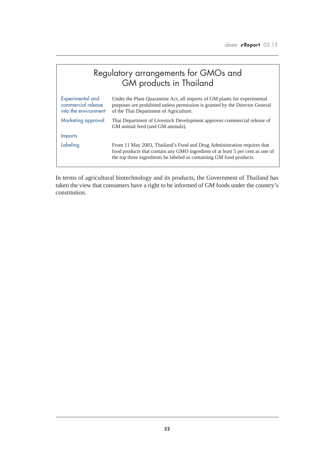|                                                                | Regulatory arrangements for GMOs and<br>GM products in Thailand                                                                                                                                                                   |
|----------------------------------------------------------------|-----------------------------------------------------------------------------------------------------------------------------------------------------------------------------------------------------------------------------------|
| Experimental and<br>commercial release<br>into the environment | Under the Plant Quarantine Act, all imports of GM plants for experimental<br>purposes are prohibited unless permission is granted by the Director General<br>of the Thai Department of Agriculture.                               |
| Marketing approval                                             | Thai Department of Livestock Development approves commercial release of<br>GM animal feed (and GM animals).                                                                                                                       |
| <b>Imports</b>                                                 |                                                                                                                                                                                                                                   |
| Labeling                                                       | From 11 May 2003, Thailand's Food and Drug Administration requires that<br>food products that contain any GMO ingredient of at least 5 per cent as one of<br>the top three ingredients be labeled as containing GM food products. |

In terms of agricultural biotechnology and its products, the Government of Thailand has taken the view that consumers have a right to be informed of GM foods under the country's constitution.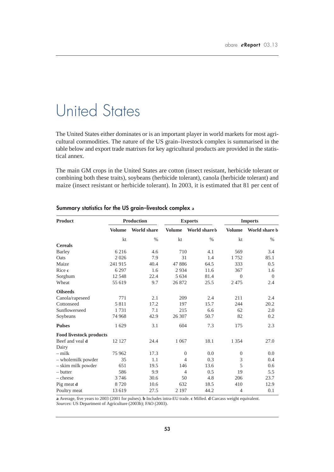# United States

The United States either dominates or is an important player in world markets for most agricultural commodities. The nature of the US grain–livestock complex is summarised in the table below and export trade matrixes for key agricultural products are provided in the statistical annex.

The main GM crops in the United States are cotton (insect resistant, herbicide tolerant or combining both these traits), soybeans (herbicide tolerant), canola (herbicide tolerant) and maize (insect resistant or herbicide tolerant). In 2003, it is estimated that 81 per cent of

| <b>Product</b>                 |               | <b>Production</b>  | <b>Exports</b> |               | <b>Imports</b> |               |
|--------------------------------|---------------|--------------------|----------------|---------------|----------------|---------------|
|                                | <b>Volume</b> | <b>World share</b> | <b>Volume</b>  | World share b | <b>Volume</b>  | World share b |
|                                | kt            | $\%$               | kt             | $\%$          | kt             | $\%$          |
| <b>Cereals</b>                 |               |                    |                |               |                |               |
| <b>Barley</b>                  | 6 2 1 6       | 4.6                | 710            | 4.1           | 569            | 3.4           |
| Oats                           | 2026          | 7.9                | 31             | 1.4           | 1752           | 85.1          |
| Maize                          | 241 915       | 40.4               | 47886          | 64.5          | 333            | 0.5           |
| Rice c                         | 6 2 9 7       | 1.6                | 2934           | 11.6          | 367            | 1.6           |
| Sorghum                        | 12 5 48       | 22.4               | 5 6 3 4        | 81.4          | $\Omega$       | $\Omega$      |
| Wheat                          | 55 619        | 9.7                | 26 872         | 25.5          | 2 4 7 5        | 2.4           |
| <b>Oilseeds</b>                |               |                    |                |               |                |               |
| Canola/rapeseed                | 771           | 2.1                | 209            | 2.4           | 211            | 2.4           |
| Cottonseed                     | 5811          | 17.2               | 197            | 15.7          | 244            | 20.2          |
| Sunflowerseed                  | 1731          | 7.1                | 215            | 6.6           | 62             | 2.0           |
| Soybeans                       | 74 968        | 42.9               | 26 307         | 50.7          | 82             | 0.2           |
| <b>Pulses</b>                  | 1629          | 3.1                | 604            | 7.3           | 175            | 2.3           |
| <b>Food livestock products</b> |               |                    |                |               |                |               |
| Beef and yeal d                | 12 127        | 24.4               | 1 0 6 7        | 18.1          | 1 3 5 4        | 27.0          |
| Dairy                          |               |                    |                |               |                |               |
| $-$ milk                       | 75 962        | 17.3               | $\theta$       | 0.0           | $\mathbf{0}$   | 0.0           |
| - wholemilk powder             | 35            | 1.1                | 4              | 0.3           | 3              | 0.4           |
| - skim milk powder             | 651           | 19.5               | 146            | 13.6          | 5              | 0.6           |
| $-$ butter                     | 586           | 9.9                | $\overline{4}$ | 0.5           | 19             | 5.5           |
| $-\text{cheese}$               | 3746          | 30.6               | 50             | 4.8           | 206            | 23.7          |
| Pig meat d                     | 8720          | 10.6               | 632            | 18.5          | 410            | 12.9          |
| Poultry meat                   | 13 619        | 27.5               | 2 1 9 7        | 44.2          | 4              | 0.1           |

### **Summary statistics for the US grain–livestock complex a**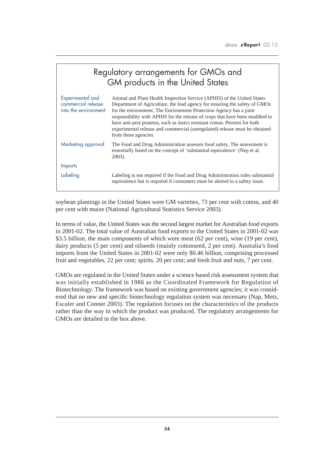| Regulatory arrangements for GMOs and<br>GM products in the United States |                                                                                                                                                                                                                                                                                                                                                                                                                                                                                                  |  |  |  |  |  |
|--------------------------------------------------------------------------|--------------------------------------------------------------------------------------------------------------------------------------------------------------------------------------------------------------------------------------------------------------------------------------------------------------------------------------------------------------------------------------------------------------------------------------------------------------------------------------------------|--|--|--|--|--|
| Experimental and<br>commercial release<br>into the environment           | Animal and Plant Health Inspection Service (APHIS) of the United States<br>Department of Agriculture, the lead agency for ensuring the safety of GMOs<br>for the environment. The Environment Protection Agency has a joint<br>responsibility with APHIS for the release of crops that have been modified to<br>have anti-pest proteins, such as insect resistant cotton. Permits for both<br>experimental release and commercial (unregulated) release must be obtained<br>from these agencies. |  |  |  |  |  |
| Marketing approval                                                       | The Food and Drug Administration assesses food safety. The assessment is<br>essentially based on the concept of 'substantial equivalence' (Nep et al.<br>2003).                                                                                                                                                                                                                                                                                                                                  |  |  |  |  |  |
| <b>Imports</b>                                                           |                                                                                                                                                                                                                                                                                                                                                                                                                                                                                                  |  |  |  |  |  |
| Labeling                                                                 | Labeling is not required if the Food and Drug Administration rules substantial<br>equivalence but is required if consumers must be alerted to a safety issue.                                                                                                                                                                                                                                                                                                                                    |  |  |  |  |  |

soybean plantings in the United States were GM varieties, 73 per cent with cotton, and 40 per cent with maize (National Agricultural Statistics Service 2003).

In terms of value, the United States was the second largest market for Australian food exports in 2001-02. The total value of Australian food exports to the United States in 2001-02 was \$3.5 billion, the main components of which were meat (62 per cent), wine (19 per cent), dairy products (5 per cent) and oilseeds (mainly cottonseed, 2 per cent). Australia's food imports from the United States in 2001-02 were only \$0.46 billion, comprising processed fruit and vegetables, 22 per cent; spirits, 20 per cent; and fresh fruit and nuts, 7 per cent.

GMOs are regulated in the United States under a science based risk assessment system that was initially established in 1986 as the Coordinated Framework for Regulation of Biotechnology. The framework was based on existing government agencies; it was considered that no new and specific biotechnology regulation system was necessary (Nap, Metz, Escaler and Conner 2003). The regulation focuses on the characteristics of the products rather than the way in which the product was produced. The regulatory arrangements for GMOs are detailed in the box above.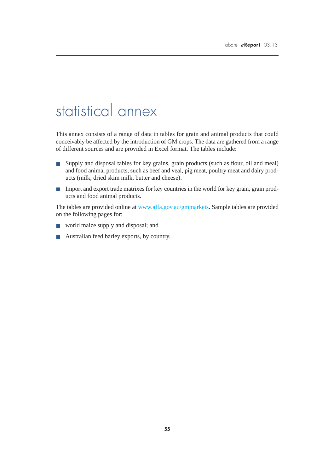## statistical annex

This annex consists of a range of data in tables for grain and animal products that could conceivably be affected by the introduction of GM crops. The data are gathered from a range of different sources and are provided in Excel format. The tables include:

- Supply and disposal tables for key grains, grain products (such as flour, oil and meal) and food animal products, such as beef and veal, pig meat, poultry meat and dairy products (milk, dried skim milk, butter and cheese).
- Import and export trade matrixes for key countries in the world for key grain, grain products and food animal products.

The tables are provided online at www.affa.gov.au/gmmarkets. Sample tables are provided on the following pages for:

- world maize supply and disposal; and
- Australian feed barley exports, by country.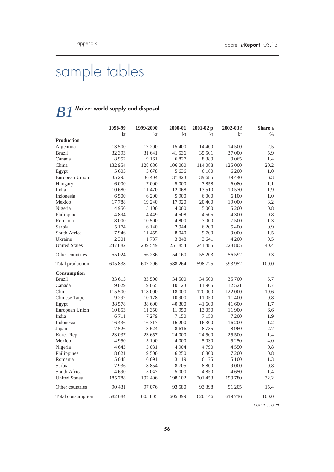# sample tables

## *B1* **Maize: world supply and disposal**

|                      | 1998-99 | 1999-2000 | 2000-01 | 2001-02 p | $2002 - 03f$ | Share a                 |
|----------------------|---------|-----------|---------|-----------|--------------|-------------------------|
|                      | kt      | kt        | kt      | kt        | kt           | $\%$                    |
| <b>Production</b>    |         |           |         |           |              |                         |
| Argentina            | 13 500  | 17 200    | 15 400  | 14 400    | 14 500       | 2.5                     |
| <b>Brazil</b>        | 32 393  | 31 641    | 41 536  | 35 501    | 37 000       | 5.9                     |
| Canada               | 8952    | 9 1 6 1   | 6827    | 8 3 8 9   | 9 0 6 5      | 1.4                     |
| China                | 132 954 | 128 086   | 106 000 | 114 088   | 125 000      | 20.2                    |
| Egypt                | 5 605   | 5678      | 5 6 3 6 | 6 1 6 0   | 6 200        | 1.0                     |
| European Union       | 35 29 5 | 36 404    | 37 823  | 39 685    | 39 440       | 6.3                     |
| Hungary              | 6 0 0 0 | 7 0 0 0   | 5 0 0 0 | 7858      | 6 0 8 0      | 1.1                     |
| India                | 10 680  | 11 470    | 12 068  | 13 510    | 10 570       | 1.9                     |
| Indonesia            | 6 500   | 6 200     | 5 9 0 0 | 6 0 0 0   | 6 100        | 1.0                     |
| Mexico               | 17788   | 19 240    | 17920   | 20 400    | 19 000       | 3.2                     |
| Nigeria              | 4 9 5 0 | 5 100     | 4 0 0 0 | 5 000     | 5 200        | 0.8                     |
| Philippines          | 4894    | 4 4 4 9   | 4 5 0 8 | 4 505     | 4 300        | 0.8                     |
| Romania              | 8 0 0 0 | 10 500    | 4 800   | 7 000     | 7 500        | 1.3                     |
| Serbia               | 5 1 7 4 | 6 1 4 0   | 2944    | 6 200     | 5 400        | 0.9                     |
| South Africa         | 7946    | 11455     | 8 0 4 0 | 9700      | 9 0 0 0      | 1.5                     |
| Ukraine              | 2 3 0 1 | 1737      | 3848    | 3 641     | 4 200        | 0.5                     |
| <b>United States</b> | 247 882 | 239 549   | 251 854 | 241 485   | 228 805      | 40.4                    |
| Other countries      | 55 024  | 56 28 6   | 54 160  | 55 203    | 56 592       | 9.3                     |
| Total production     | 605 838 | 607 296   | 588 264 | 598 725   | 593 952      | 100.0                   |
| Consumption          |         |           |         |           |              |                         |
| <b>Brazil</b>        | 33 615  | 33 500    | 34 500  | 34 500    | 35 700       | 5.7                     |
| Canada               | 9 0 29  | 9055      | 10 123  | 11 965    | 12 5 21      | 1.7                     |
| China                | 115 500 | 118 000   | 118 000 | 120 000   | 122 000      | 19.6                    |
| Chinese Taipei       | 9 2 9 2 | 10 178    | 10 900  | 11 050    | 11 400       | 0.8                     |
| Egypt                | 38 578  | 38 600    | 40 300  | 41 600    | 41 600       | 1.7                     |
| European Union       | 10853   | 11 350    | 11950   | 13 050    | 11 900       | 6.6                     |
| India                | 6711    | 7 2 7 9   | 7 1 5 0 | 7 1 5 0   | 7 200        | 1.9                     |
| Indonesia            | 16436   | 16 3 17   | 16 200  | 16 300    | 16 200       | 1.2                     |
| Japan                | 7 5 2 6 | 8 6 24    | 8616    | 8735      | 8 9 6 0      | 2.7                     |
| Korea Rep.           | 23 037  | 23 657    | 24 000  | 24 500    | 25 500       | 1.4                     |
| Mexico               | 4 9 5 0 | 5 100     | 4 0 0 0 | 5 0 3 0   | 5 2 5 0      | 4.0                     |
| Nigeria              | 4 6 43  | 5 0 8 1   | 4 9 0 4 | 4790      | 4 5 5 0      | 0.8                     |
| Philippines          | 8 6 21  | 9 500     | 6 2 5 0 | 6 800     | 7 200        | 0.8                     |
| Romania              | 5 0 4 8 | 6 0 9 1   | 3 1 1 9 | 6 1 7 5   | 5 100        | 1.3                     |
| Serbia               | 7936    | 8854      | 8705    | 8 8 0 0   | 9 0 0 0      | 0.8                     |
| South Africa         | 4 6 9 0 | 5 0 4 7   | 5 000   | 4850      | 4 650        | 1.4                     |
| <b>United States</b> | 185788  | 192 496   | 198 102 | 201 453   | 199 780      | 32.2                    |
| Other countries      | 90 431  | 97 076    | 93 580  | 93 398    | 91 205       | 15.4                    |
| Total consumption    | 582 684 | 605 805   | 605 399 | 620 146   | 619716       | 100.0                   |
|                      |         |           |         |           |              | continued $\mathcal{P}$ |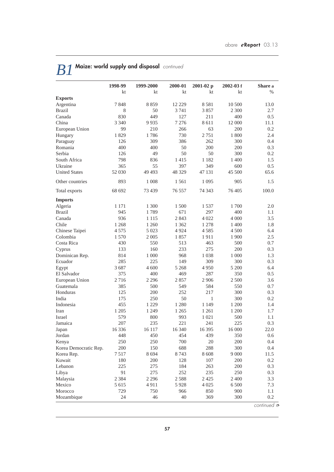|                       | 1998-99 | 1999-2000 | 2000-01  | $2001 - 02p$ | $2002 - 03f$ | Share a       |
|-----------------------|---------|-----------|----------|--------------|--------------|---------------|
|                       | kt      | kt        | kt       | kt           | kt           | $\frac{0}{0}$ |
| <b>Exports</b>        |         |           |          |              |              |               |
| Argentina             | 7848    | 8859      | 12 2 2 9 | 8581         | 10 500       | 13.0          |
| <b>Brazil</b>         | 8       | 50        | 3 7 4 1  | 3857         | 2 300        | 2.7           |
| Canada                | 830     | 449       | 127      | 211          | 400          | 0.5           |
| China                 | 3 3 4 0 | 9935      | 7 2 7 6  | 8611         | 12 000       | 11.1          |
| European Union        | 99      | 210       | 266      | 63           | 200          | 0.2           |
| Hungary               | 1829    | 1786      | 730      | 2751         | 1 800        | 2.4           |
| Paraguay              | 126     | 309       | 386      | 262          | 300          | 0.4           |
| Romania               | 400     | 400       | 50       | 200          | 200          | 0.3           |
| Serbia                | 126     | 49        | 50       | 50           | 300          | 0.2           |
| South Africa          | 798     | 836       | 1415     | 1 1 8 2      | 1 400        | 1.5           |
| Ukraine               | 365     | 55        | 397      | 349          | 600          | 0.5           |
| <b>United States</b>  | 52 030  | 49 4 93   | 48 329   | 47 131       | 45 500       | 65.6          |
| Other countries       | 893     | 1 0 0 8   | 1561     | 1 0 9 5      | 905          | 1.5           |
| Total exports         | 68 692  | 73 439    | 76 557   | 74 343       | 76 405       | 100.0         |
| <b>Imports</b>        |         |           |          |              |              |               |
| Algeria               | 1 1 7 1 | 1 300     | 1 500    | 1537         | 1700         | 2.0           |
| <b>Brazil</b>         | 945     | 1789      | 671      | 297          | 400          | 1.1           |
| Canada                | 936     | 1 1 1 5   | 2843     | 4 0 2 2      | 4 0 0 0      | 3.5           |
| Chile                 | 1 2 6 8 | 1 260     | 1 3 6 2  | 1 2 7 8      | 1 400        | 1.8           |
| Chinese Taipei        | 4575    | 5 0 23    | 4 9 2 4  | 4585         | 4 500        | 6.4           |
| Colombia              | 1 570   | 2 0 0 5   | 1857     | 1911         | 1 900        | 2.5           |
| Costa Rica            | 430     | 550       | 513      | 463          | 500          | 0.7           |
| Cyprus                | 133     | 160       | 233      | 275          | 200          | 0.3           |
| Dominican Rep.        | 814     | 1 000     | 968      | 1 0 38       | 1 000        | 1.3           |
| Ecuador               | 285     | 225       | 149      | 309          | 300          | 0.3           |
| Egypt                 | 3687    | 4 600     | 5 2 6 8  | 4950         | 5 200        | 6.4           |
| El Salvador           | 375     | 400       | 469      | 287          | 350          | 0.5           |
| European Union        | 2716    | 2 2 9 6   | 2857     | 2 9 0 6      | 2 500        | 3.6           |
| Guatemala             | 385     | 500       | 549      | 584          | 550          | 0.7           |
| Honduras              | 125     | 200       | 252      | 217          | 300          | 0.3           |
| India                 | 175     | 250       | 50       | $\mathbf{1}$ | 300          | 0.2           |
| Indonesia             | 455     | 1 2 2 9   | 1 2 8 0  | 1 1 4 9      | 1 200        | 1.4           |
| Iran                  | 1 2 0 5 | 1 2 4 9   | 1 2 6 5  | 1 2 6 1      | 1 200        | 1.7           |
| Israel                | 579     | 800       | 993      | 1 0 2 1      | 500          | 1.1           |
| Jamaica               | 207     | 235       | 221      | 241          | 225          | 0.3           |
| Japan                 | 16 336  | 16 117    | 16 340   | 16 395       | 16 000       | 22.0          |
| Jordan                | 448     | 450       | 454      | 439          | 350          | 0.6           |
| Kenya                 | 250     | 250       | 700      | 20           | 200          | 0.4           |
| Korea Democratic Rep. | 200     | 150       | 688      | 288          | 300          | 0.4           |
| Korea Rep.            | 7517    | 8694      | 8743     | 8 6 0 8      | 9 0 0 0      | 11.5          |
| Kuwait                | 180     | 200       | 128      | 107          | 200          | 0.2           |
| Lebanon               | 225     | 275       | 184      | 263          | 200          | 0.3           |
| Libya                 | 91      | 275       | 252      | 235          | 250          | 0.3           |
| Malaysia              | 2 3 8 4 | 2 2 9 6   | 2588     | 2 4 2 5      | 2 4 0 0      | 3.3           |
| Mexico                | 5 615   | 4911      | 5928     | 4 0 25       | 6 500        | 7.3           |
| Morocco               | 729     | 750       | 966      | 850          | 900          | 1.1           |
| Mozambique            | 24      | 46        | 40       | 369          | 300          | 0.2           |
|                       |         |           |          |              |              | continued A   |

# *B1* **Maize: world supply and disposal** *continued*

*continued* ➮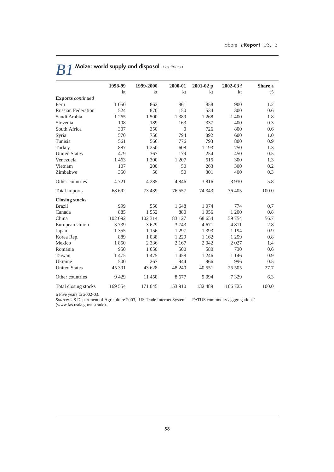|                           | 1998-99 | 1999-2000 | 2000-01  | $2001 - 02 p$ | $2002 - 03f$ | Share a |
|---------------------------|---------|-----------|----------|---------------|--------------|---------|
|                           | kt      | kt        | kt       | kt            | kt           | $\%$    |
| <b>Exports</b> continued  |         |           |          |               |              |         |
| Peru                      | 1 0 5 0 | 862       | 861      | 858           | 900          | 1.2     |
| <b>Russian Federation</b> | 524     | 870       | 150      | 534           | 300          | 0.6     |
| Saudi Arabia              | 1 2 6 5 | 1500      | 1 3 8 9  | 1 2 6 8       | 1 400        | 1.8     |
| Slovenia                  | 108     | 189       | 163      | 337           | 400          | 0.3     |
| South Africa              | 307     | 350       | $\theta$ | 726           | 800          | 0.6     |
| Syria                     | 570     | 750       | 794      | 892           | 600          | 1.0     |
| Tunisia                   | 561     | 566       | 776      | 793           | 800          | 0.9     |
| Turkey                    | 887     | 1 250     | 608      | 1 1 9 3       | 750          | 1.3     |
| <b>United States</b>      | 479     | 367       | 179      | 254           | 450          | 0.5     |
| Venezuela                 | 1463    | 1 300     | 1 207    | 515           | 300          | 1.3     |
| Vietnam                   | 107     | 200       | 50       | 263           | 300          | 0.2     |
| Zimbabwe                  | 350     | 50        | 50       | 301           | 400          | 0.3     |
| Other countries           | 4721    | 4 2 8 5   | 4846     | 3816          | 3 9 3 0      | 5.8     |
| Total imports             | 68 692  | 73 439    | 76 557   | 74 343        | 76 405       | 100.0   |
| <b>Closing stocks</b>     |         |           |          |               |              |         |
| <b>Brazil</b>             | 999     | 550       | 1648     | 1 0 7 4       | 774          | 0.7     |
| Canada                    | 885     | 1552      | 880      | 1056          | 1 200        | 0.8     |
| China                     | 102 092 | 102 314   | 83 127   | 68 654        | 59 754       | 56.7    |
| European Union            | 3739    | 3629      | 3 7 4 3  | 4671          | 4811         | 2.8     |
| Japan                     | 1 3 5 5 | 1 1 5 6   | 1 2 9 7  | 1 3 9 3       | 1 1 9 4      | 0.9     |
| Korea Rep.                | 889     | 1038      | 1 2 2 9  | 1 1 6 2       | 1 2 5 9      | 0.8     |
| Mexico                    | 1850    | 2 3 3 6   | 2 1 6 7  | 2042          | 2027         | 1.4     |
| Romania                   | 950     | 1650      | 500      | 580           | 730          | 0.6     |
| Taiwan                    | 1475    | 1475      | 1458     | 1 2 4 6       | 1 1 4 6      | 0.9     |
| Ukraine                   | 500     | 267       | 944      | 966           | 996          | 0.5     |
| <b>United States</b>      | 45 391  | 43 628    | 48 240   | 40 551        | 25 505       | 27.7    |
| Other countries           | 9429    | 11 450    | 8677     | 9 0 9 4       | 7 3 2 9      | 6.3     |
| Total closing stocks      | 169 554 | 171 045   | 153 910  | 132 489       | 106 725      | 100.0   |

# *B1* **Maize: world supply and disposal** *continued*

**a** Five years to 2002-03.

*Source*: US Department of Agriculture 2003, 'US Trade Internet System — FATUS commodity agggregations' (www.fas.usda.gov/ustrade).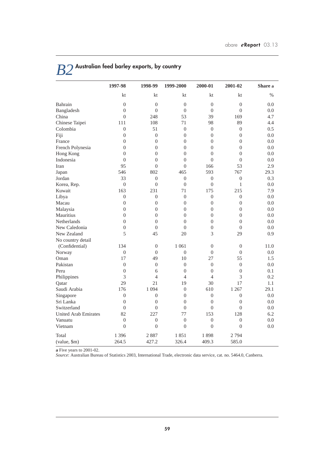|                             | 1997-98          | 1998-99          | 1999-2000      | 2000-01          | 2001-02          | Share a |
|-----------------------------|------------------|------------------|----------------|------------------|------------------|---------|
|                             | kt               | kt               | kt             | kt               | kt               | $\%$    |
| Bahrain                     | $\overline{0}$   | $\overline{0}$   | $\overline{0}$ | $\theta$         | $\overline{0}$   | 0.0     |
| Bangladesh                  | $\overline{0}$   | $\overline{0}$   | $\overline{0}$ | $\theta$         | $\overline{0}$   | 0.0     |
| China                       | $\theta$         | 248              | 53             | 39               | 169              | 4.7     |
| Chinese Taipei              | 111              | 108              | 71             | 98               | 89               | 4.4     |
| Colombia                    | $\boldsymbol{0}$ | 51               | $\overline{0}$ | $\boldsymbol{0}$ | $\overline{0}$   | 0.5     |
| Fiji                        | $\theta$         | $\Omega$         | $\theta$       | $\Omega$         | $\Omega$         | 0.0     |
| France                      | $\theta$         | $\overline{0}$   | $\theta$       | $\overline{0}$   | $\overline{0}$   | 0.0     |
| French Polynesia            | $\theta$         | $\overline{0}$   | $\theta$       | $\overline{0}$   | $\overline{0}$   | 0.0     |
| Hong Kong                   | $\overline{0}$   | $\boldsymbol{0}$ | $\overline{0}$ | $\boldsymbol{0}$ | $\overline{0}$   | 0.0     |
| Indonesia                   | $\theta$         | $\theta$         | $\theta$       | $\theta$         | $\theta$         | 0.0     |
| Iran                        | 95               | $\overline{0}$   | $\overline{0}$ | 166              | 53               | 2.9     |
| Japan                       | 546              | 802              | 465            | 593              | 767              | 29.3    |
| Jordan                      | 33               | $\overline{0}$   | $\overline{0}$ | $\overline{0}$   | $\overline{0}$   | 0.3     |
| Korea, Rep.                 | $\overline{0}$   | $\overline{0}$   | $\mathbf{0}$   | $\mathbf{0}$     | $\mathbf{1}$     | 0.0     |
| Kuwait                      | 163              | 231              | 71             | 175              | 215              | 7.9     |
| Libya                       | $\overline{0}$   | $\overline{0}$   | $\overline{0}$ | $\overline{0}$   | $\overline{0}$   | 0.0     |
| Macau                       | $\overline{0}$   | $\overline{0}$   | $\overline{0}$ | $\overline{0}$   | $\overline{0}$   | 0.0     |
| Malaysia                    | $\overline{0}$   | $\boldsymbol{0}$ | $\overline{0}$ | $\overline{0}$   | $\boldsymbol{0}$ | 0.0     |
| Mauritius                   | $\theta$         | $\theta$         | $\theta$       | $\theta$         | $\theta$         | 0.0     |
| <b>Netherlands</b>          | $\theta$         | $\overline{0}$   | $\theta$       | $\overline{0}$   | $\overline{0}$   | 0.0     |
| New Caledonia               | $\overline{0}$   | $\overline{0}$   | $\theta$       | $\overline{0}$   | $\theta$         | 0.0     |
| New Zealand                 | 5                | 45               | 20             | 3                | 29               | 0.9     |
| No country detail           |                  |                  |                |                  |                  |         |
| (Confidential)              | 134              | $\mathbf{0}$     | 1 0 6 1        | $\overline{0}$   | $\overline{0}$   | 11.0    |
| Norway                      | $\boldsymbol{0}$ | $\Omega$         | $\theta$       | $\boldsymbol{0}$ | $\theta$         | 0.0     |
| Oman                        | 17               | 49               | 10             | 27               | 55               | 1.5     |
| Pakistan                    | $\overline{0}$   | $\overline{0}$   | $\overline{0}$ | $\overline{0}$   | $\overline{0}$   | 0.0     |
| Peru                        | $\mathbf{0}$     | 6                | $\overline{0}$ | $\boldsymbol{0}$ | $\boldsymbol{0}$ | 0.1     |
| Philippines                 | 3                | $\overline{4}$   | $\overline{4}$ | $\overline{4}$   | 3                | 0.2     |
| Qatar                       | 29               | 21               | 19             | 30               | 17               | 1.1     |
| Saudi Arabia                | 176              | 1 0 9 4          | $\overline{0}$ | 610              | 1 2 6 7          | 29.1    |
| Singapore                   | $\theta$         | $\theta$         | $\theta$       | $\theta$         | $\theta$         | 0.0     |
| Sri Lanka                   | $\overline{0}$   | $\overline{0}$   | $\theta$       | $\mathbf{0}$     | $\mathbf{0}$     | 0.0     |
| Switzerland                 | $\overline{0}$   | $\overline{0}$   | $\overline{0}$ | $\overline{0}$   | $\theta$         | 0.0     |
| <b>United Arab Emirates</b> | 82               | 227              | 77             | 153              | 128              | 6.2     |
| Vanuatu                     | $\overline{0}$   | $\overline{0}$   | $\mathbf{0}$   | $\overline{0}$   | $\overline{0}$   | 0.0     |
| Vietnam                     | $\overline{0}$   | $\boldsymbol{0}$ | $\overline{0}$ | $\overline{0}$   | $\boldsymbol{0}$ | 0.0     |
| Total                       | 1 3 9 6          | 2887             | 1851           | 1898             | 2794             |         |
| (value, \$m)                | 264.5            | 427.2            | 326.4          | 409.3            | 585.0            |         |

# *B2* **Australian feed barley exports, by country**

**a** Five years to 2001-02.

*Source*: Australian Bureau of Statistics 2003, International Trade, electronic data service, cat. no. 5464.0, Canberra.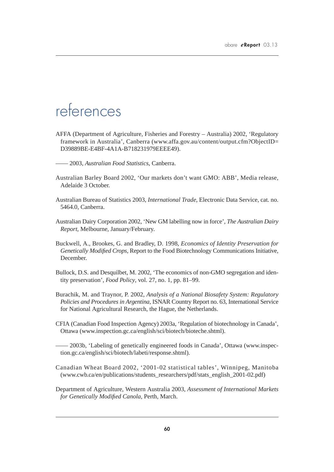## references

AFFA (Department of Agriculture, Fisheries and Forestry – Australia) 2002, 'Regulatory framework in Australia', Canberra (www.affa.gov.au/content/output.cfm?ObjectID= D39889BE-E4BF-4A1A-B718231979EEEE49).

—— 2003, *Australian Food Statistics*, Canberra.

- Australian Barley Board 2002, 'Our markets don't want GMO: ABB', Media release, Adelaide 3 October.
- Australian Bureau of Statistics 2003, *International Trade*, Electronic Data Service, cat. no. 5464.0, Canberra.
- Australian Dairy Corporation 2002, 'New GM labelling now in force', *The Australian Dairy Report*, Melbourne, January/February.
- Buckwell, A., Brookes, G. and Bradley, D. 1998, *Economics of Identity Preservation for Genetically Modified Crops*, Report to the Food Biotechnology Communications Initiative, December.
- Bullock, D.S. and Desquilbet, M. 2002, 'The economics of non-GMO segregation and identity preservation', *Food Policy*, vol. 27, no. 1, pp. 81–99.
- Burachik, M. and Traynor, P. 2002, *Analysis of a National Biosafety System: Regulatory Policies and Procedures in Argentina*, ISNAR Country Report no. 63, International Service for National Agricultural Research, the Hague, the Netherlands.
- CFIA (Canadian Food Inspection Agency) 2003a, 'Regulation of biotechnology in Canada', Ottawa (www.inspection.gc.ca/english/sci/biotech/bioteche.shtml).
- —— 2003b, 'Labeling of genetically engineered foods in Canada', Ottawa (www.inspection.gc.ca/english/sci/biotech/labeti/response.shtml).
- Canadian Wheat Board 2002, '2001-02 statistical tables', Winnipeg, Manitoba (www.cwb.ca/en/publications/students\_researchers/pdf/stats\_english\_2001-02.pdf)
- Department of Agriculture, Western Australia 2003, *Assessment of International Markets for Genetically Modified Canola*, Perth, March.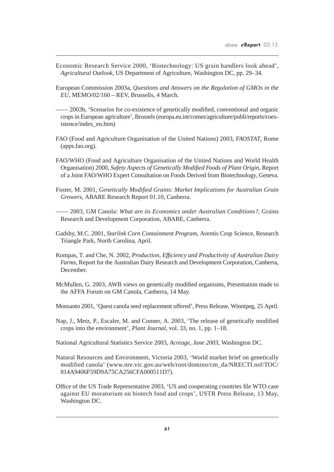- Economic Research Service 2000, 'Biotechnology: US grain handlers look ahead', *Agricultural Outlook*, US Department of Agriculture, Washington DC, pp. 29–34.
- European Commission 2003a, *Questions and Answers on the Regulation of GMOs in the EU*, MEMO/02/160 – REV, Brussells, 4 March.
- —— 2003b, 'Scenarios for co-existence of genetically modified, conventional and organic crops in European agriculture', Brussels (europa.eu.int/comm/agriculture/publi/reports/coexistence/index\_en.htm)
- FAO (Food and Agriculture Organisation of the United Nations) 2003, *FAOSTAT*, Rome (apps.fao.org).
- FAO/WHO (Food and Agriculture Organisation of the United Nations and World Health Organisation) 2000, *Safety Aspects of Genetically Modified Foods of Plant Origin*, Report of a Joint FAO/WHO Expert Consultation on Foods Derived from Biotechnology, Geneva.
- Foster, M. 2001, *Genetically Modified Grains: Market Implications for Australian Grain Growers*, ABARE Research Report 01.10, Canberra.
- —— 2003, GM Canola: *What are its Economics under Australian Conditions?*, Grains Research and Development Corporation, ABARE, Canberra.
- Gadsby, M.C. 2001, *Starlink Corn Containment Program*, Aventis Crop Science, Research Triangle Park, North Carolina, April.
- Kompas, T. and Che, N. 2002, *Production, Efficiency and Productivity of Australian Dairy Farms*, Report for the Australian Dairy Research and Development Corporation, Canberra, December.
- McMullen, G. 2003, AWB views on genetically modified organisms, Presentation made to the AFFA Forum on GM Canola, Canberra, 14 May.
- Monsanto 2001, 'Quest canola seed replacement offered', Press Release, Winnipeg, 25 April.
- Nap, J., Metz, P., Escaler, M. and Conner, A. 2003, 'The release of genetically modified crops into the environment', *Plant Journal,* vol. 33, no. 1, pp. 1–18.
- National Agricultural Statistics Service 2003, *Acreage, June 2003*, Washington DC.
- Natural Resources and Environment, Victoria 2003, 'World market brief on genetically modified canola' (www.nre.vic.gov.au/web/root/domino/cm\_da/NRECTI.nsf/TOC/ 814A9406F59D9A75CA256CFA000511D7).
- Office of the US Trade Representative 2003, 'US and cooperating countries file WTO case against EU moratorium on biotech food and crops', USTR Press Release, 13 May, Washington DC.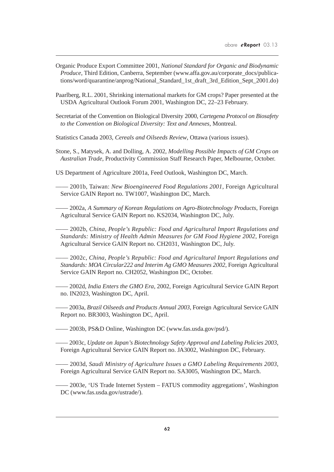- Organic Produce Export Committee 2001, *National Standard for Organic and Biodynamic Produce*, Third Edition, Canberra, September (www.affa.gov.au/corporate\_docs/publications/word/quarantine/anprog/National\_Standard\_1st\_draft\_3rd\_Edition\_Sept\_2001.do)
- Paarlberg, R.L. 2001, Shrinking international markets for GM crops? Paper presented at the USDA Agricultural Outlook Forum 2001, Washington DC, 22–23 February.
- Secretariat of the Convention on Biological Diversity 2000, *Cartegena Protocol on Biosafety to the Convention on Biological Diversity: Text and Annexes*, Montreal.
- Statistics Canada 2003, *Cereals and Oilseeds Review*, Ottawa (various issues).
- Stone, S., Matysek, A. and Dolling, A. 2002, *Modelling Possible Impacts of GM Crops on Australian Trade*, Productivity Commission Staff Research Paper, Melbourne, October.
- US Department of Agriculture 2001a, Feed Outlook, Washington DC, March.

—— 2001b, Taiwan: *New Bioengineered Food Regulations 2001*, Foreign Agricultural Service GAIN Report no. TW1007, Washington DC, March.

—— 2002a, *A Summary of Korean Regulations on Agro-Biotechnology Products*, Foreign Agricultural Service GAIN Report no. KS2034, Washington DC, July.

—— 2002b, *China, People's Republic: Food and Agricultural Import Regulations and Standards: Ministry of Health Admin Measures for GM Food Hygiene 2002*, Foreign Agricultural Service GAIN Report no. CH2031, Washington DC, July.

—— 2002c, *China, People's Republic: Food and Agricultural Import Regulations and Standards: MOA Circular222 and Interim Ag GMO Measures 2002*, Foreign Agricultural Service GAIN Report no. CH2052, Washington DC, October.

—— 2002d, *India Enters the GMO Era*, 2002, Foreign Agricultural Service GAIN Report no. IN2023, Washington DC, April.

—— 2003a, *Brazil Oilseeds and Products Annual 2003*, Foreign Agricultural Service GAIN Report no. BR3003, Washington DC, April.

—— 2003b, PS&D Online, Washington DC (www.fas.usda.gov/psd/).

—— 2003c, *Update on Japan's Biotechnology Safety Approval and Labeling Policies 2003*, Foreign Agricultural Service GAIN Report no. JA3002, Washington DC, February.

—— 2003d, *Saudi Ministry of Agriculture Issues a GMO Labeling Requirements 2003*, Foreign Agricultural Service GAIN Report no. SA3005, Washington DC, March.

—— 2003e, 'US Trade Internet System – FATUS commodity aggregations', Washington DC (www.fas.usda.gov/ustrade/).